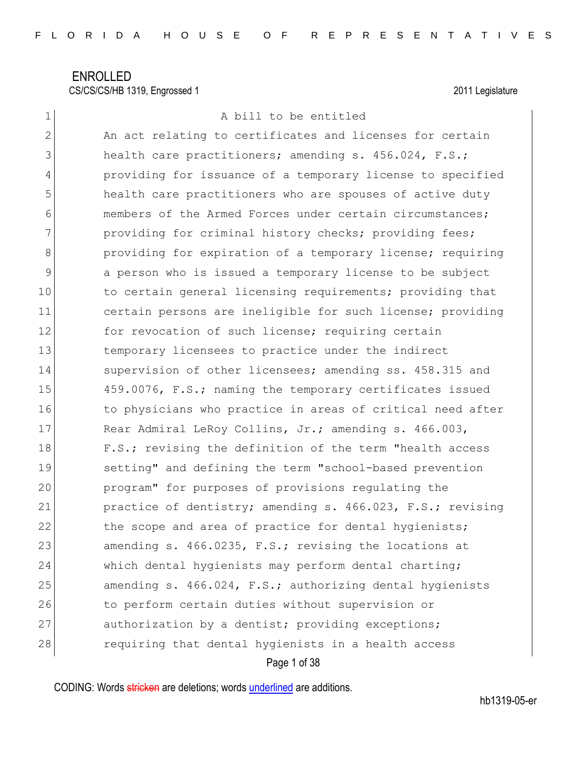| $\mathbf 1$    | A bill to be entitled                                      |
|----------------|------------------------------------------------------------|
| $\overline{2}$ | An act relating to certificates and licenses for certain   |
| 3              | health care practitioners; amending s. 456.024, F.S.;      |
| 4              | providing for issuance of a temporary license to specified |
| 5              | health care practitioners who are spouses of active duty   |
| 6              | members of the Armed Forces under certain circumstances;   |
| 7              | providing for criminal history checks; providing fees;     |
| $8\,$          | providing for expiration of a temporary license; requiring |
| 9              | a person who is issued a temporary license to be subject   |
| 10             | to certain general licensing requirements; providing that  |
| 11             | certain persons are ineligible for such license; providing |
| 12             | for revocation of such license; requiring certain          |
| 13             | temporary licensees to practice under the indirect         |
| 14             | supervision of other licensees; amending ss. 458.315 and   |
| 15             | 459.0076, F.S.; naming the temporary certificates issued   |
| 16             | to physicians who practice in areas of critical need after |
| 17             | Rear Admiral LeRoy Collins, Jr.; amending s. 466.003,      |
| 18             | F.S.; revising the definition of the term "health access   |
| 19             | setting" and defining the term "school-based prevention    |
| 20             | program" for purposes of provisions regulating the         |
| 21             | practice of dentistry; amending s. 466.023, F.S.; revising |
| 22             | the scope and area of practice for dental hygienists;      |
| 23             | amending s. 466.0235, F.S.; revising the locations at      |
| 24             | which dental hygienists may perform dental charting;       |
| 25             | amending s. 466.024, F.S.; authorizing dental hygienists   |
| 26             | to perform certain duties without supervision or           |
| 27             | authorization by a dentist; providing exceptions;          |
| 28             | requiring that dental hygienists in a health access        |
|                |                                                            |

Page 1 of 38

CODING: Words stricken are deletions; words underlined are additions.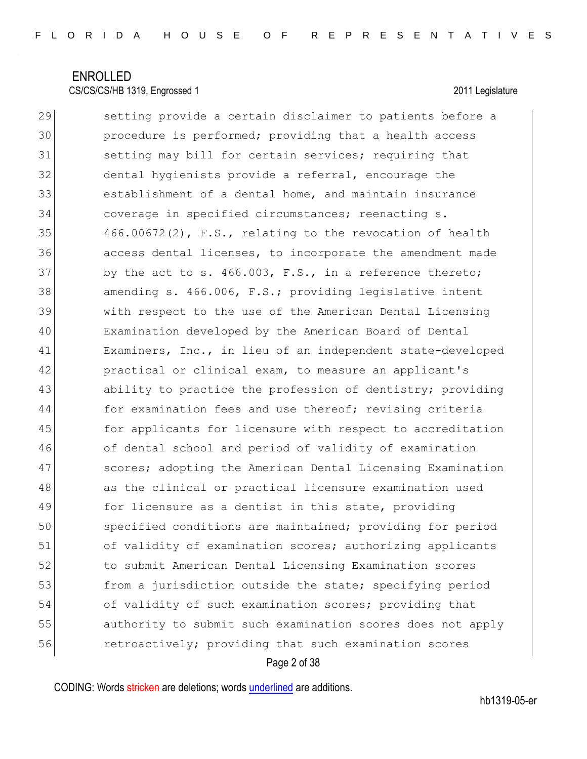29 Setting provide a certain disclaimer to patients before a 30 procedure is performed; providing that a health access 31 setting may bill for certain services; requiring that 32 dental hygienists provide a referral, encourage the 33 establishment of a dental home, and maintain insurance 34 coverage in specified circumstances; reenacting s.  $35$  466.00672(2), F.S., relating to the revocation of health 36 access dental licenses, to incorporate the amendment made  $37$  by the act to s.  $466.003$ , F.S., in a reference thereto; 38 amending s. 466.006, F.S.; providing legislative intent 39 with respect to the use of the American Dental Licensing 40 Examination developed by the American Board of Dental 41 Examiners, Inc., in lieu of an independent state-developed 42 practical or clinical exam, to measure an applicant's 43 ability to practice the profession of dentistry; providing 44 for examination fees and use thereof; revising criteria 45 for applicants for licensure with respect to accreditation 46 of dental school and period of validity of examination 47 Scores; adopting the American Dental Licensing Examination 48 as the clinical or practical licensure examination used 49 for licensure as a dentist in this state, providing 50 specified conditions are maintained; providing for period 51 of validity of examination scores; authorizing applicants 52 to submit American Dental Licensing Examination scores 53 from a jurisdiction outside the state; specifying period 54 of validity of such examination scores; providing that 55 authority to submit such examination scores does not apply 56 retroactively; providing that such examination scores

### Page 2 of 38

CODING: Words stricken are deletions; words underlined are additions.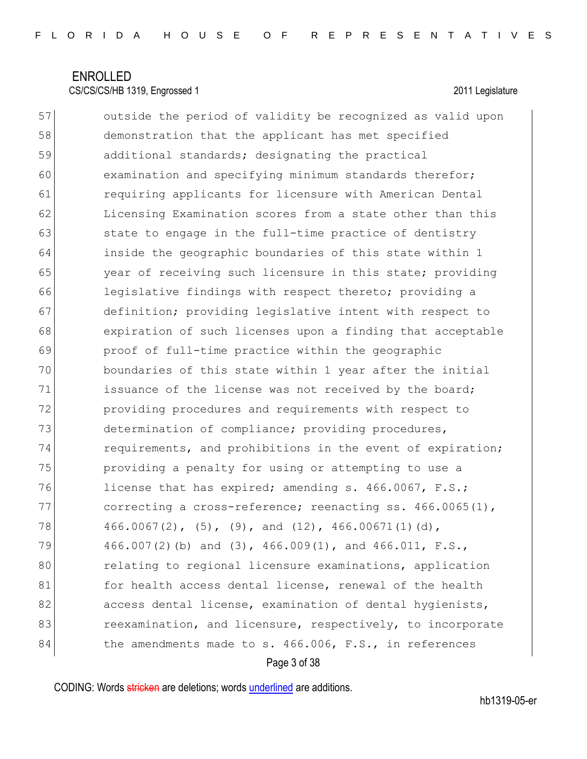57 outside the period of validity be recognized as valid upon 58 demonstration that the applicant has met specified 59 additional standards; designating the practical 60 examination and specifying minimum standards therefor; 61 **requiring applicants for licensure with American Dental** 62 Licensing Examination scores from a state other than this 63 state to engage in the full-time practice of dentistry 64 inside the geographic boundaries of this state within 1 65 year of receiving such licensure in this state; providing 66 legislative findings with respect thereto; providing a 67 definition; providing legislative intent with respect to 68 expiration of such licenses upon a finding that acceptable 69 proof of full-time practice within the geographic 70 boundaries of this state within 1 year after the initial 71 issuance of the license was not received by the board; 72 providing procedures and requirements with respect to 73 determination of compliance; providing procedures, 74 requirements, and prohibitions in the event of expiration; 75 providing a penalty for using or attempting to use a 76 license that has expired; amending s. 466.0067, F.S.; 77 correcting a cross-reference; reenacting ss.  $466.0065(1)$ ,  $78$  466.0067(2), (5), (9), and (12), 466.00671(1)(d), 79 466.007(2)(b) and (3), 466.009(1), and 466.011, F.S., 80 **relating to regional licensure examinations, application** 81 for health access dental license, renewal of the health 82 access dental license, examination of dental hygienists, 83 **reexamination, and licensure, respectively, to incorporate**  $84$  the amendments made to s. 466.006, F.S., in references

### Page 3 of 38

CODING: Words stricken are deletions; words underlined are additions.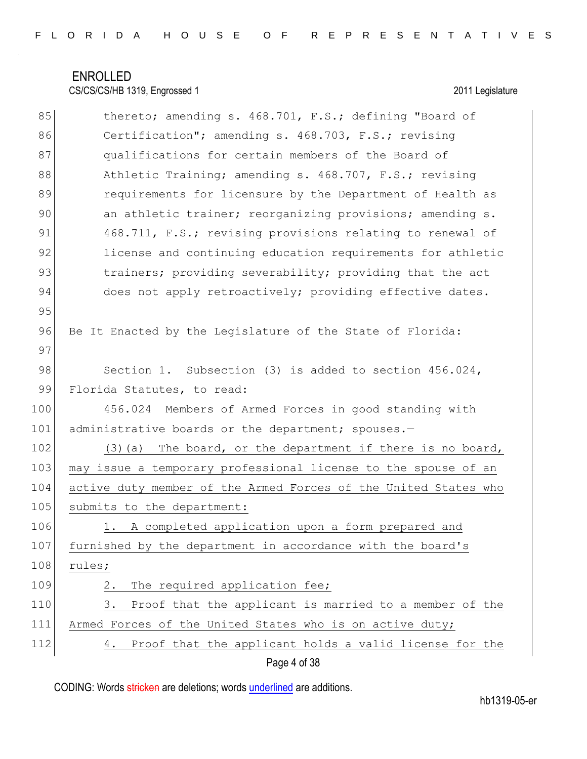| 85  | thereto; amending s. 468.701, F.S.; defining "Board of          |
|-----|-----------------------------------------------------------------|
| 86  | Certification"; amending s. 468.703, F.S.; revising             |
| 87  | qualifications for certain members of the Board of              |
| 88  | Athletic Training; amending s. 468.707, F.S.; revising          |
| 89  | requirements for licensure by the Department of Health as       |
| 90  | an athletic trainer; reorganizing provisions; amending s.       |
| 91  | 468.711, F.S.; revising provisions relating to renewal of       |
| 92  | license and continuing education requirements for athletic      |
| 93  | trainers; providing severability; providing that the act        |
| 94  | does not apply retroactively; providing effective dates.        |
| 95  |                                                                 |
| 96  | Be It Enacted by the Legislature of the State of Florida:       |
| 97  |                                                                 |
| 98  | Section 1. Subsection (3) is added to section 456.024,          |
| 99  | Florida Statutes, to read:                                      |
| 100 | Members of Armed Forces in good standing with<br>456.024        |
| 101 | administrative boards or the department; spouses.-              |
| 102 | (3) (a) The board, or the department if there is no board,      |
| 103 | may issue a temporary professional license to the spouse of an  |
| 104 | active duty member of the Armed Forces of the United States who |
| 105 | submits to the department:                                      |
| 106 | A completed application upon a form prepared and<br>1.          |
| 107 | furnished by the department in accordance with the board's      |
| 108 | rules;                                                          |
| 109 | The required application fee;<br>2.                             |
| 110 | 3.<br>Proof that the applicant is married to a member of the    |
| 111 | Armed Forces of the United States who is on active duty;        |
| 112 | Proof that the applicant holds a valid license for the<br>4.    |

Page 4 of 38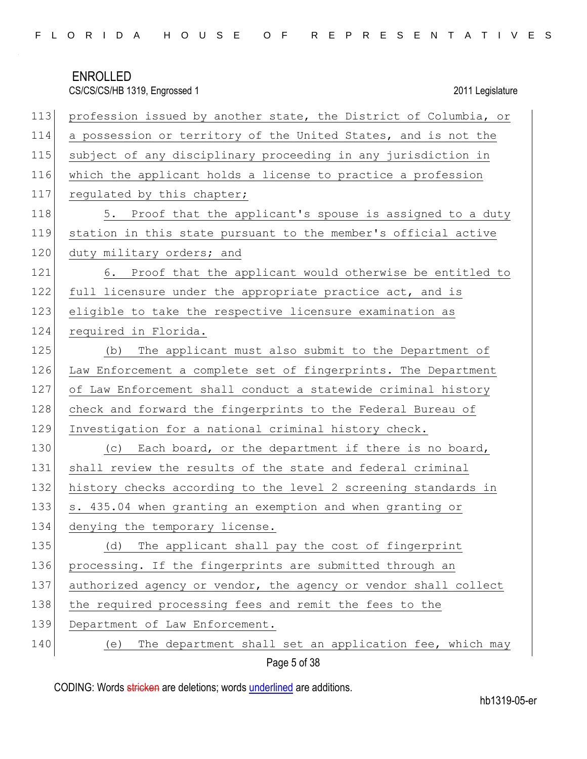| 113 | profession issued by another state, the District of Columbia, or |
|-----|------------------------------------------------------------------|
| 114 | a possession or territory of the United States, and is not the   |
| 115 | subject of any disciplinary proceeding in any jurisdiction in    |
| 116 | which the applicant holds a license to practice a profession     |
| 117 | regulated by this chapter;                                       |
| 118 | 5. Proof that the applicant's spouse is assigned to a duty       |
| 119 | station in this state pursuant to the member's official active   |
| 120 | duty military orders; and                                        |
| 121 | 6. Proof that the applicant would otherwise be entitled to       |
| 122 | full licensure under the appropriate practice act, and is        |
| 123 | eligible to take the respective licensure examination as         |
| 124 | required in Florida.                                             |
| 125 | (b) The applicant must also submit to the Department of          |
| 126 | Law Enforcement a complete set of fingerprints. The Department   |
| 127 | of Law Enforcement shall conduct a statewide criminal history    |
| 128 | check and forward the fingerprints to the Federal Bureau of      |
| 129 | Investigation for a national criminal history check.             |
| 130 | (c) Each board, or the department if there is no board,          |
| 131 | shall review the results of the state and federal criminal       |
| 132 | history checks according to the level 2 screening standards in   |
| 133 | s. 435.04 when granting an exemption and when granting or        |
| 134 | denying the temporary license.                                   |
| 135 | The applicant shall pay the cost of fingerprint<br>(d)           |
| 136 | processing. If the fingerprints are submitted through an         |
| 137 | authorized agency or vendor, the agency or vendor shall collect  |
| 138 | the required processing fees and remit the fees to the           |
| 139 | Department of Law Enforcement.                                   |
| 140 | The department shall set an application fee, which may<br>(e)    |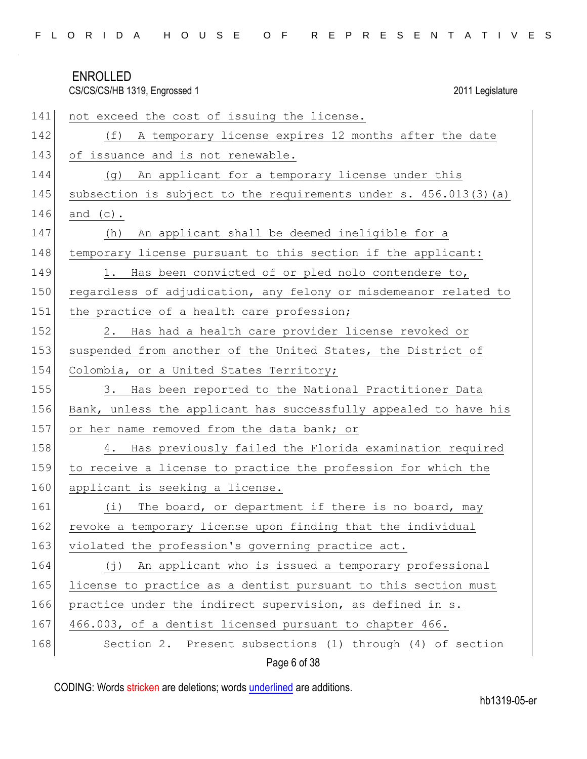CS/CS/CS/HB 1319, Engrossed 1 2011 Legislature

| 141 | not exceed the cost of issuing the license.                       |
|-----|-------------------------------------------------------------------|
| 142 | (f) A temporary license expires 12 months after the date          |
| 143 | of issuance and is not renewable.                                 |
| 144 | An applicant for a temporary license under this<br>(g)            |
| 145 | subsection is subject to the requirements under s. 456.013(3) (a) |
| 146 | and $(c)$ .                                                       |
| 147 | An applicant shall be deemed ineligible for a<br>(h)              |
| 148 | temporary license pursuant to this section if the applicant:      |
| 149 | 1. Has been convicted of or pled nolo contendere to,              |
| 150 | regardless of adjudication, any felony or misdemeanor related to  |
| 151 | the practice of a health care profession;                         |
| 152 | Has had a health care provider license revoked or<br>2.           |
| 153 | suspended from another of the United States, the District of      |
| 154 | Colombia, or a United States Territory;                           |
| 155 | Has been reported to the National Practitioner Data<br>3.         |
| 156 | Bank, unless the applicant has successfully appealed to have his  |
| 157 | or her name removed from the data bank; or                        |
| 158 | Has previously failed the Florida examination required<br>4.      |
| 159 | to receive a license to practice the profession for which the     |
| 160 | applicant is seeking a license.                                   |
| 161 | The board, or department if there is no board, may<br>(i)         |
| 162 | revoke a temporary license upon finding that the individual       |
| 163 | violated the profession's governing practice act.                 |
| 164 | (j) An applicant who is issued a temporary professional           |
| 165 | license to practice as a dentist pursuant to this section must    |
| 166 | practice under the indirect supervision, as defined in s.         |
| 167 | 466.003, of a dentist licensed pursuant to chapter 466.           |
| 168 | Section 2. Present subsections (1) through (4) of section         |

Page 6 of 38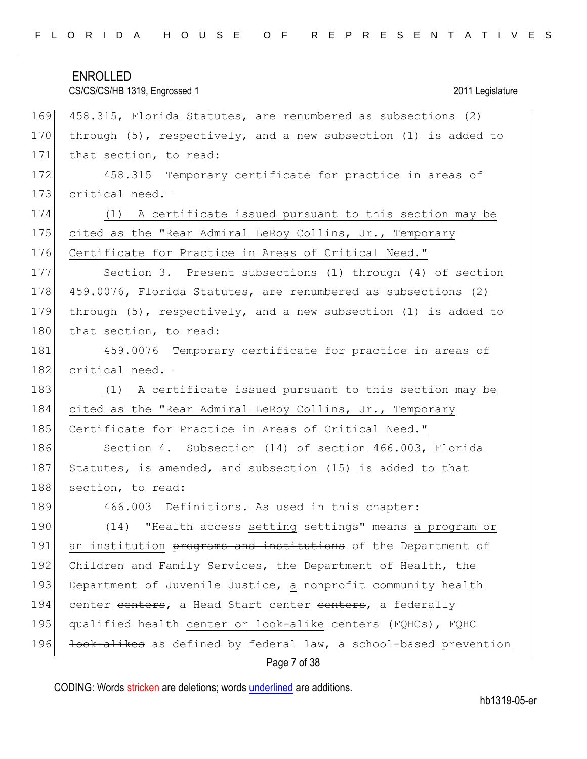# ENROLLED CS/CS/CS/HB 1319, Engrossed 1 2011 Legislature Page 7 of 38 169 458.315, Florida Statutes, are renumbered as subsections (2) 170 through (5), respectively, and a new subsection (1) is added to 171 that section, to read: 172 458.315 Temporary certificate for practice in areas of 173 critical need.-174 (1) A certificate issued pursuant to this section may be 175 cited as the "Rear Admiral LeRoy Collins, Jr., Temporary 176 Certificate for Practice in Areas of Critical Need." 177 Section 3. Present subsections (1) through (4) of section 178 459.0076, Florida Statutes, are renumbered as subsections (2) 179 through (5), respectively, and a new subsection (1) is added to 180 that section, to read: 181 459.0076 Temporary certificate for practice in areas of 182 critical need.-183 (1) A certificate issued pursuant to this section may be 184 cited as the "Rear Admiral LeRoy Collins, Jr., Temporary 185 Certificate for Practice in Areas of Critical Need." 186 Section 4. Subsection (14) of section 466.003, Florida 187 Statutes, is amended, and subsection (15) is added to that 188 section, to read: 189 466.003 Definitions.—As used in this chapter: 190 (14) "Health access setting settings" means a program or 191 an institution programs and institutions of the Department of 192 Children and Family Services, the Department of Health, the 193 Department of Juvenile Justice, a nonprofit community health 194 center centers, a Head Start center centers, a federally 195 qualified health center or look-alike centers (FQHCs), FQHC 196 look-alikes as defined by federal law, a school-based prevention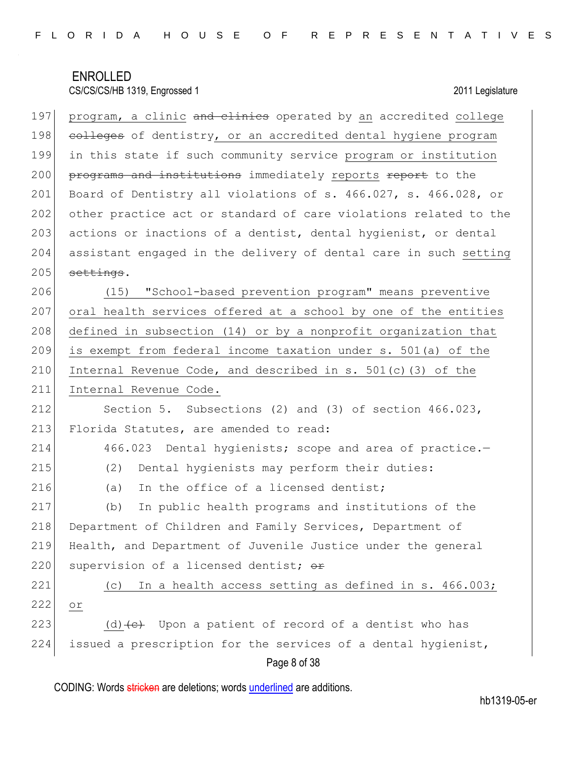Page 8 of 38 197 program, a clinic and clinics operated by an accredited college 198 colleges of dentistry, or an accredited dental hygiene program 199 in this state if such community service program or institution 200 programs and institutions immediately reports report to the 201 Board of Dentistry all violations of s. 466.027, s. 466.028, or 202 other practice act or standard of care violations related to the 203 actions or inactions of a dentist, dental hygienist, or dental 204 assistant engaged in the delivery of dental care in such setting  $205$  settings. 206 (15) "School-based prevention program" means preventive 207 oral health services offered at a school by one of the entities 208 defined in subsection (14) or by a nonprofit organization that 209 is exempt from federal income taxation under s. 501(a) of the 210 Internal Revenue Code, and described in s.  $501(c)$  (3) of the 211 Internal Revenue Code. 212 Section 5. Subsections (2) and (3) of section 466.023, 213 Florida Statutes, are amended to read: 214 466.023 Dental hygienists; scope and area of practice.-215 (2) Dental hygienists may perform their duties: 216 (a) In the office of a licensed dentist; 217 (b) In public health programs and institutions of the 218 Department of Children and Family Services, Department of 219 Health, and Department of Juvenile Justice under the general 220 supervision of a licensed dentist;  $\theta$ <sup> $\pm$ </sup> 221 (c) In a health access setting as defined in s. 466.003; 222 or 223 (d)  $\left(\text{d}\right)$  Upon a patient of record of a dentist who has 224 issued a prescription for the services of a dental hygienist,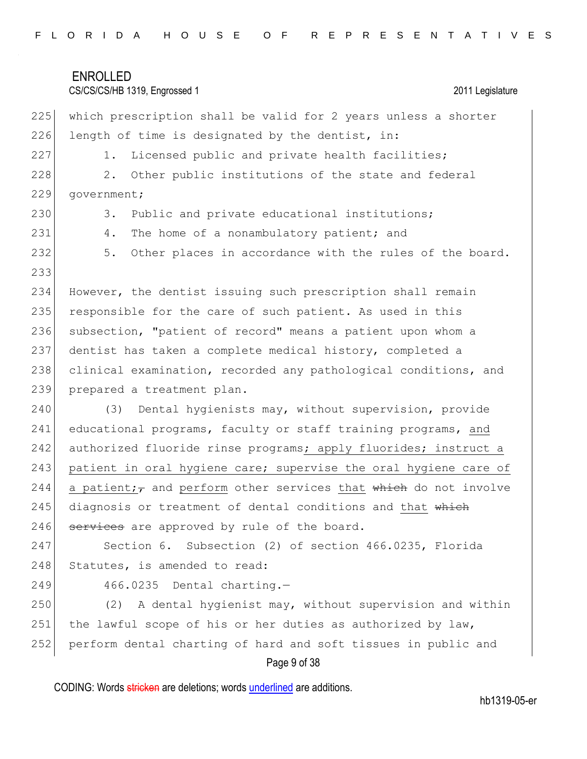### CS/CS/CS/HB 1319, Engrossed 1 2011 Legislature

Page 9 of 38 225 which prescription shall be valid for 2 years unless a shorter  $226$  length of time is designated by the dentist, in: 227 1. Licensed public and private health facilities; 228 2. Other public institutions of the state and federal 229 government; 230 3. Public and private educational institutions; 231 4. The home of a nonambulatory patient; and 232 5. Other places in accordance with the rules of the board. 233 234 However, the dentist issuing such prescription shall remain 235 responsible for the care of such patient. As used in this 236 subsection, "patient of record" means a patient upon whom a 237 dentist has taken a complete medical history, completed a 238 clinical examination, recorded any pathological conditions, and 239 prepared a treatment plan. 240 (3) Dental hygienists may, without supervision, provide 241 educational programs, faculty or staff training programs, and 242 authorized fluoride rinse programs; apply fluorides; instruct a 243 patient in oral hygiene care; supervise the oral hygiene care of 244 a patient; and perform other services that which do not involve 245 diagnosis or treatment of dental conditions and that which 246  $\overline{\phantom{a}}$  services are approved by rule of the board. 247 Section 6. Subsection (2) of section 466.0235, Florida 248 Statutes, is amended to read: 249 466.0235 Dental charting.-250 (2) A dental hygienist may, without supervision and within 251 the lawful scope of his or her duties as authorized by law, 252 perform dental charting of hard and soft tissues in public and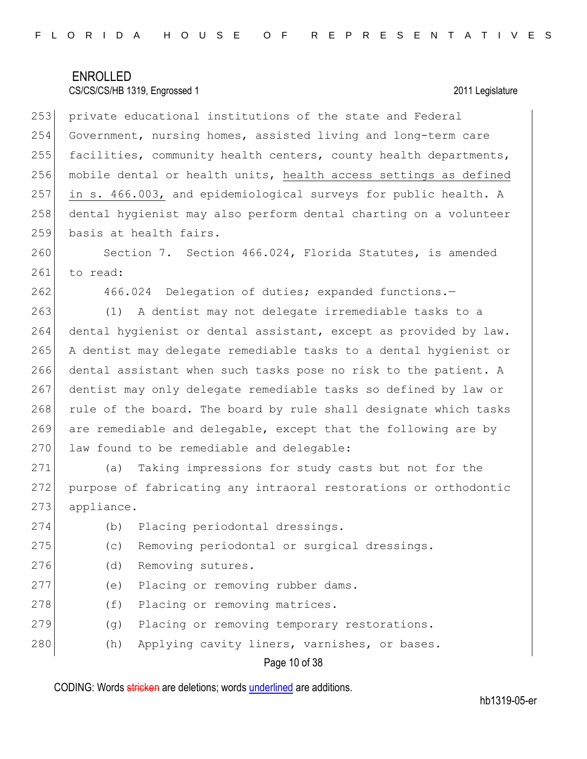253 private educational institutions of the state and Federal 254 Government, nursing homes, assisted living and long-term care 255 facilities, community health centers, county health departments, 256 mobile dental or health units, health access settings as defined 257 in s. 466.003, and epidemiological surveys for public health. A 258 dental hygienist may also perform dental charting on a volunteer 259 basis at health fairs.

260 Section 7. Section 466.024, Florida Statutes, is amended 261 to read:

262 466.024 Delegation of duties; expanded functions.

 (1) A dentist may not delegate irremediable tasks to a dental hygienist or dental assistant, except as provided by law. A dentist may delegate remediable tasks to a dental hygienist or dental assistant when such tasks pose no risk to the patient. A dentist may only delegate remediable tasks so defined by law or 268 rule of the board. The board by rule shall designate which tasks are remediable and delegable, except that the following are by 270 law found to be remediable and delegable:

271 (a) Taking impressions for study casts but not for the 272 purpose of fabricating any intraoral restorations or orthodontic 273 appliance.

274 (b) Placing periodontal dressings.

275 (c) Removing periodontal or surgical dressings.

- 276 (d) Removing sutures.
- 277 (e) Placing or removing rubber dams.
- 278 (f) Placing or removing matrices.
- 279 (g) Placing or removing temporary restorations.
- 280 (h) Applying cavity liners, varnishes, or bases.

### Page 10 of 38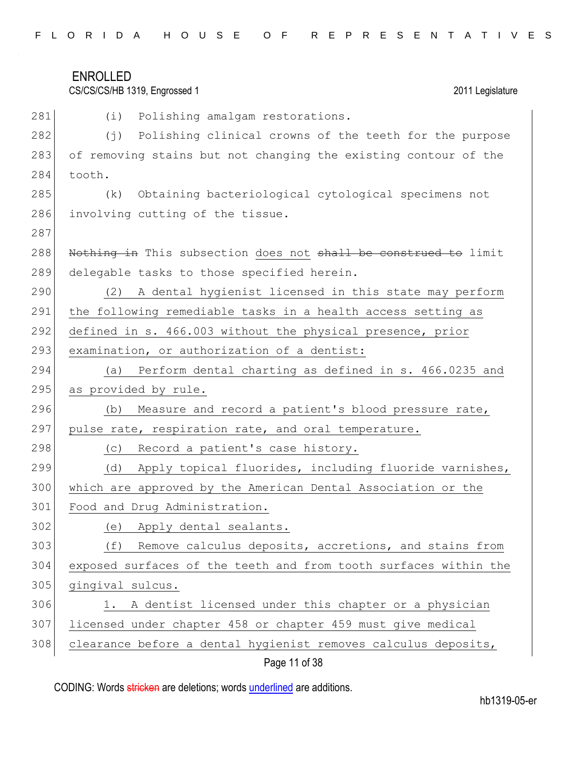| FLORIDA HOUSE OF REPRESENTATIVES |  |
|----------------------------------|--|
|----------------------------------|--|

## CS/CS/CS/HB 1319, Engrossed 1 2011 Legislature

| 281 | (i)<br>Polishing amalgam restorations.                            |
|-----|-------------------------------------------------------------------|
| 282 | (†)<br>Polishing clinical crowns of the teeth for the purpose     |
| 283 | of removing stains but not changing the existing contour of the   |
| 284 | tooth.                                                            |
| 285 | Obtaining bacteriological cytological specimens not<br>(k)        |
| 286 | involving cutting of the tissue.                                  |
| 287 |                                                                   |
| 288 | Nothing in This subsection does not shall be construed to limit   |
| 289 | delegable tasks to those specified herein.                        |
| 290 | A dental hygienist licensed in this state may perform<br>(2)      |
| 291 | the following remediable tasks in a health access setting as      |
| 292 | defined in s. 466.003 without the physical presence, prior        |
| 293 | examination, or authorization of a dentist:                       |
| 294 | Perform dental charting as defined in s. 466.0235 and<br>(a)      |
| 295 | as provided by rule.                                              |
| 296 | Measure and record a patient's blood pressure rate,<br>(b)        |
| 297 | pulse rate, respiration rate, and oral temperature.               |
| 298 | Record a patient's case history.<br>(C)                           |
| 299 | Apply topical fluorides, including fluoride varnishes,<br>(d)     |
| 300 | which are approved by the American Dental Association or the      |
| 301 | Food and Drug Administration.                                     |
| 302 | Apply dental sealants.<br>(e)                                     |
| 303 | Remove calculus deposits, accretions, and stains from<br>(f)      |
| 304 | exposed surfaces of the teeth and from tooth surfaces within the  |
| 305 | gingival sulcus.                                                  |
| 306 | A dentist licensed under this chapter or a physician<br>$\perp$ . |
| 307 | licensed under chapter 458 or chapter 459 must give medical       |
| 308 | clearance before a dental hygienist removes calculus deposits,    |
|     | $D_{max}$ 44 $\leq$ 00                                            |

Page 11 of 38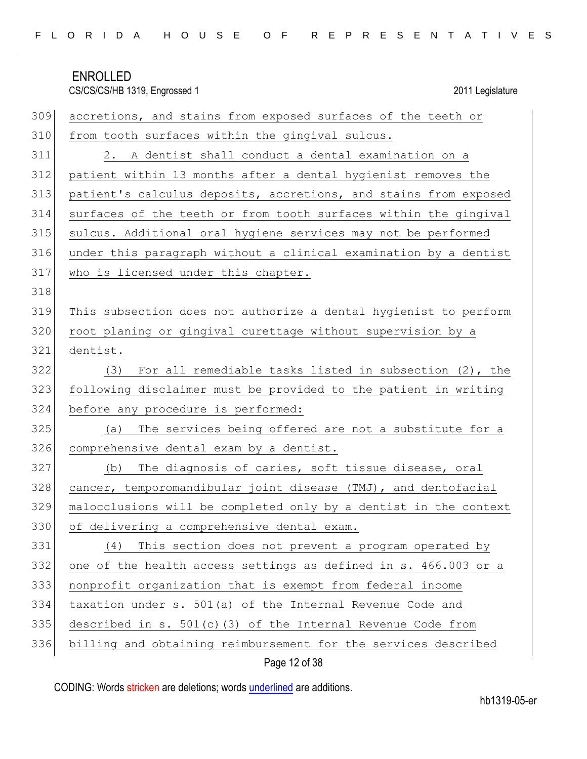|  |  |  |  |  |  |  |  |  |  |  |  | FLORIDA HOUSE OF REPRESENTATIVES |  |  |  |  |  |  |  |  |  |  |  |  |  |  |  |  |
|--|--|--|--|--|--|--|--|--|--|--|--|----------------------------------|--|--|--|--|--|--|--|--|--|--|--|--|--|--|--|--|
|--|--|--|--|--|--|--|--|--|--|--|--|----------------------------------|--|--|--|--|--|--|--|--|--|--|--|--|--|--|--|--|

| 309 | accretions, and stains from exposed surfaces of the teeth or     |
|-----|------------------------------------------------------------------|
| 310 | from tooth surfaces within the gingival sulcus.                  |
| 311 | 2. A dentist shall conduct a dental examination on a             |
| 312 | patient within 13 months after a dental hygienist removes the    |
| 313 | patient's calculus deposits, accretions, and stains from exposed |
| 314 | surfaces of the teeth or from tooth surfaces within the gingival |
| 315 | sulcus. Additional oral hygiene services may not be performed    |
| 316 | under this paragraph without a clinical examination by a dentist |
| 317 | who is licensed under this chapter.                              |
| 318 |                                                                  |
| 319 | This subsection does not authorize a dental hygienist to perform |
| 320 | root planing or gingival curettage without supervision by a      |
| 321 | dentist.                                                         |
| 322 | For all remediable tasks listed in subsection $(2)$ , the<br>(3) |
| 323 | following disclaimer must be provided to the patient in writing  |
| 324 | before any procedure is performed:                               |
| 325 | The services being offered are not a substitute for a<br>(a)     |
| 326 | comprehensive dental exam by a dentist.                          |
| 327 | The diagnosis of caries, soft tissue disease, oral<br>(b)        |
| 328 | cancer, temporomandibular joint disease (TMJ), and dentofacial   |
| 329 | malocclusions will be completed only by a dentist in the context |
| 330 | of delivering a comprehensive dental exam.                       |
| 331 | This section does not prevent a program operated by<br>(4)       |
| 332 | one of the health access settings as defined in s. 466.003 or a  |
| 333 | nonprofit organization that is exempt from federal income        |
| 334 | taxation under s. 501(a) of the Internal Revenue Code and        |
| 335 | described in s. $501(c)$ (3) of the Internal Revenue Code from   |
| 336 | billing and obtaining reimbursement for the services described   |

## Page 12 of 38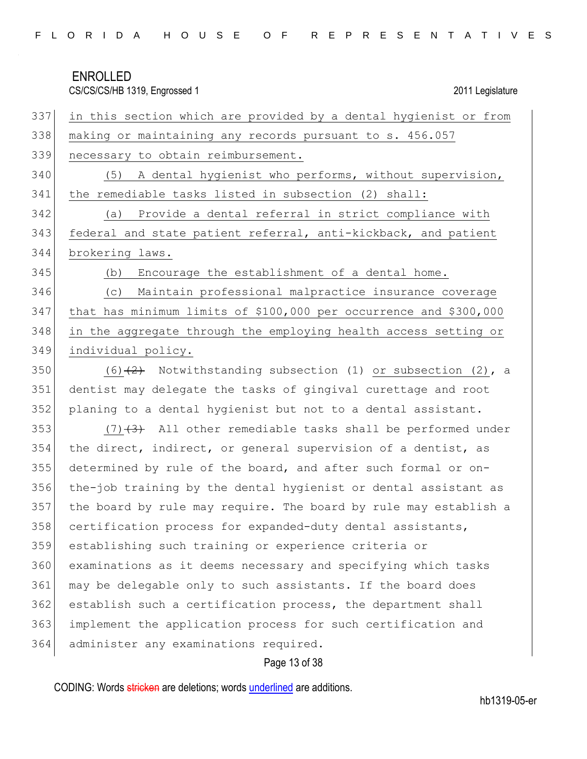| FLORIDA HOUSE OF REPRESENTATIVES |  |  |
|----------------------------------|--|--|
|----------------------------------|--|--|

CS/CS/CS/HB 1319, Engrossed 1 2011 Legislature in this section which are provided by a dental hygienist or from 338 making or maintaining any records pursuant to s. 456.057 necessary to obtain reimbursement. (5) A dental hygienist who performs, without supervision, 341 the remediable tasks listed in subsection (2) shall: (a) Provide a dental referral in strict compliance with 343 federal and state patient referral, anti-kickback, and patient brokering laws. (b) Encourage the establishment of a dental home. (c) Maintain professional malpractice insurance coverage that has minimum limits of \$100,000 per occurrence and \$300,000 in the aggregate through the employing health access setting or individual policy. 350 (6) $(2)$  Notwithstanding subsection (1) or subsection (2), a dentist may delegate the tasks of gingival curettage and root planing to a dental hygienist but not to a dental assistant.  $(7)$   $(3)$  All other remediable tasks shall be performed under the direct, indirect, or general supervision of a dentist, as determined by rule of the board, and after such formal or on- the-job training by the dental hygienist or dental assistant as the board by rule may require. The board by rule may establish a 358 certification process for expanded-duty dental assistants, establishing such training or experience criteria or examinations as it deems necessary and specifying which tasks may be delegable only to such assistants. If the board does establish such a certification process, the department shall implement the application process for such certification and

364 administer any examinations required.

### Page 13 of 38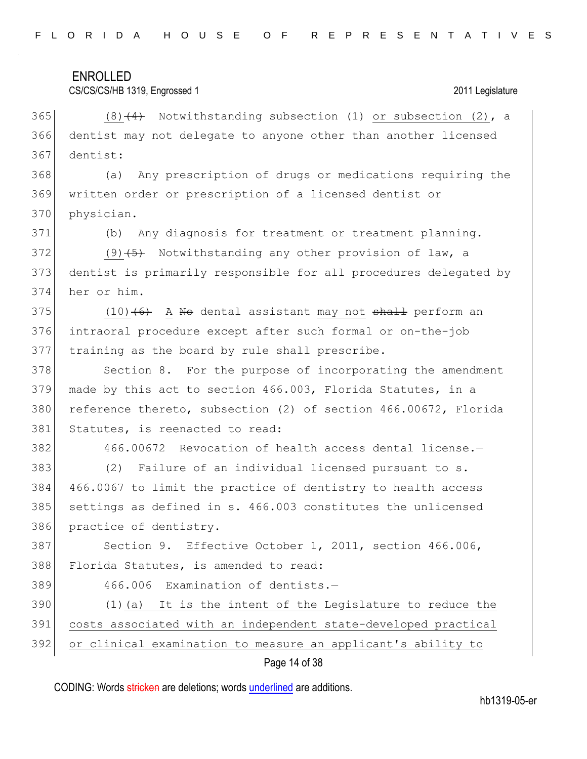| FLORIDA HOUSE OF REPRESENTATIVES |  |
|----------------------------------|--|
|----------------------------------|--|

### CS/CS/CS/HB 1319, Engrossed 1 2011 Legislature

365 (8) $(4)$  Notwithstanding subsection (1) or subsection (2), a 366 dentist may not delegate to anyone other than another licensed 367 dentist:

368 (a) Any prescription of drugs or medications requiring the 369 written order or prescription of a licensed dentist or 370 physician.

371 (b) Any diagnosis for treatment or treatment planning.

372 (9)  $\left(5\right)$  Notwithstanding any other provision of law, a 373 dentist is primarily responsible for all procedures delegated by 374 her or him.

375  $(10)$   $(6)$  A No dental assistant may not shall perform an 376 intraoral procedure except after such formal or on-the-job 377 training as the board by rule shall prescribe.

378 Section 8. For the purpose of incorporating the amendment 379 made by this act to section 466.003, Florida Statutes, in a 380 reference thereto, subsection (2) of section 466.00672, Florida 381 Statutes, is reenacted to read:

382 466.00672 Revocation of health access dental license. 383 (2) Failure of an individual licensed pursuant to s. 384 466.0067 to limit the practice of dentistry to health access 385 settings as defined in s. 466.003 constitutes the unlicensed 386 practice of dentistry.

387 Section 9. Effective October 1, 2011, section 466.006, 388 Florida Statutes, is amended to read:

389 466.006 Examination of dentists.-

390 (1)(a) It is the intent of the Legislature to reduce the 391 costs associated with an independent state-developed practical 392 or clinical examination to measure an applicant's ability to

### Page 14 of 38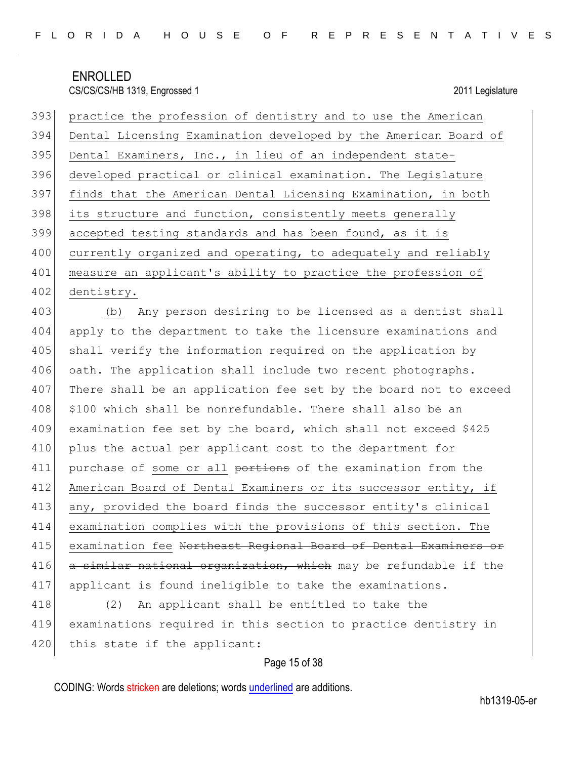| 393 | practice the profession of dentistry and to use the American               |
|-----|----------------------------------------------------------------------------|
| 394 | Dental Licensing Examination developed by the American Board of            |
| 395 | Dental Examiners, Inc., in lieu of an independent state-                   |
| 396 | developed practical or clinical examination. The Legislature               |
| 397 | finds that the American Dental Licensing Examination, in both              |
| 398 | its structure and function, consistently meets generally                   |
| 399 | accepted testing standards and has been found, as it is                    |
| 400 | currently organized and operating, to adequately and reliably              |
| 401 | measure an applicant's ability to practice the profession of               |
| 402 | dentistry.                                                                 |
| 403 | (b) Any person desiring to be licensed as a dentist shall                  |
| 404 | apply to the department to take the licensure examinations and             |
| 405 | shall verify the information required on the application by                |
| 406 | oath. The application shall include two recent photographs.                |
| 407 | There shall be an application fee set by the board not to exceed           |
| 408 | \$100 which shall be nonrefundable. There shall also be an                 |
| 409 | examination fee set by the board, which shall not exceed \$425             |
| 410 | plus the actual per applicant cost to the department for                   |
| 411 | purchase of some or all portions of the examination from the               |
| 412 | American Board of Dental Examiners or its successor entity, if             |
| 413 | any, provided the board finds the successor entity's clinical              |
| 414 | examination complies with the provisions of this section. The              |
| 415 | examination fee <del>Northeast Regional Board of Dental Examiners or</del> |
| 416 | a similar national organization, which may be refundable if the            |
| 417 | applicant is found ineligible to take the examinations.                    |
| 418 | An applicant shall be entitled to take the<br>(2)                          |
| 419 | examinations required in this section to practice dentistry in             |
| 420 | this state if the applicant:                                               |

## Page 15 of 38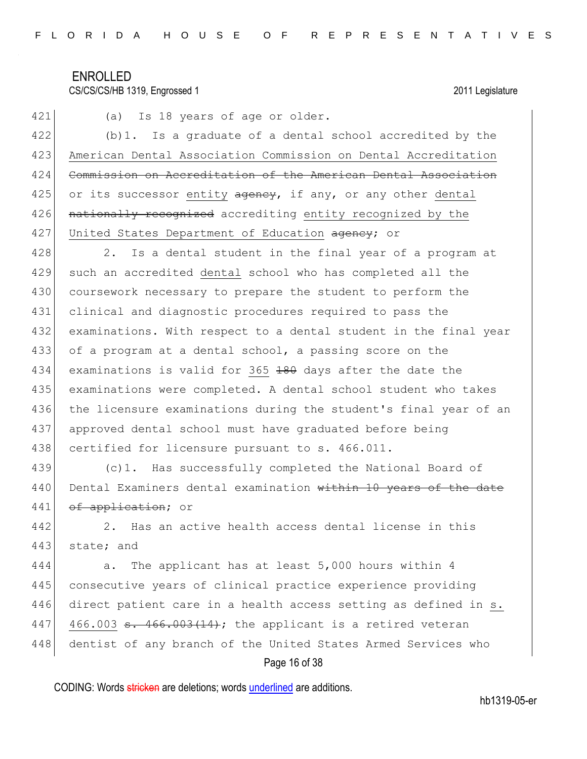### CS/CS/CS/HB 1319, Engrossed 1 2011 Legislature

421 (a) Is 18 years of age or older. 422 (b)1. Is a graduate of a dental school accredited by the 423 American Dental Association Commission on Dental Accreditation 424 Commission on Accreditation of the American Dental Association 425 or its successor entity  $a$ gency, if any, or any other dental 426 nationally recognized accrediting entity recognized by the 427 United States Department of Education agency; or 428 2. Is a dental student in the final year of a program at 429 such an accredited dental school who has completed all the 430 coursework necessary to prepare the student to perform the 431 clinical and diagnostic procedures required to pass the 432 examinations. With respect to a dental student in the final year 433 of a program at a dental school, a passing score on the 434 examinations is valid for 365 180 days after the date the 435 examinations were completed. A dental school student who takes 436 the licensure examinations during the student's final year of an 437 approved dental school must have graduated before being 438 certified for licensure pursuant to s. 466.011. 439 (c)1. Has successfully completed the National Board of 440 Dental Examiners dental examination within 10 years of the date 441 of application; or 442 2. Has an active health access dental license in this 443 state; and 444 a. The applicant has at least 5,000 hours within 4

445 consecutive years of clinical practice experience providing 446 direct patient care in a health access setting as defined in s. 447 466.003  $\texttt{s. } 466.003$   $\texttt{+14}$ ; the applicant is a retired veteran 448 dentist of any branch of the United States Armed Services who

### Page 16 of 38

CODING: Words stricken are deletions; words underlined are additions.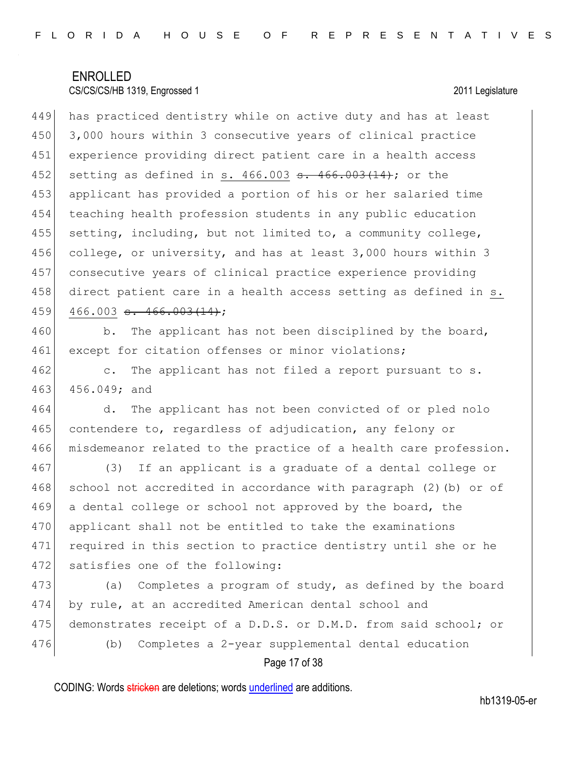449 has practiced dentistry while on active duty and has at least 3,000 hours within 3 consecutive years of clinical practice experience providing direct patient care in a health access 452 setting as defined in s. 466.003 <del>s. 466.003(14)</del>; or the applicant has provided a portion of his or her salaried time teaching health profession students in any public education setting, including, but not limited to, a community college, 456 college, or university, and has at least 3,000 hours within 3 consecutive years of clinical practice experience providing 458 direct patient care in a health access setting as defined in s. 466.003 <del>s. 466.003(14)</del>;

460 b. The applicant has not been disciplined by the board, 461 except for citation offenses or minor violations;

462 c. The applicant has not filed a report pursuant to s. 463 456.049; and

464 d. The applicant has not been convicted of or pled nolo 465 contendere to, regardless of adjudication, any felony or 466 misdemeanor related to the practice of a health care profession.

467 (3) If an applicant is a graduate of a dental college or 468 school not accredited in accordance with paragraph (2) (b) or of 469 a dental college or school not approved by the board, the 470 applicant shall not be entitled to take the examinations 471 required in this section to practice dentistry until she or he 472 satisfies one of the following:

473 (a) Completes a program of study, as defined by the board 474 by rule, at an accredited American dental school and 475 demonstrates receipt of a D.D.S. or D.M.D. from said school; or 476 (b) Completes a 2-year supplemental dental education

### Page 17 of 38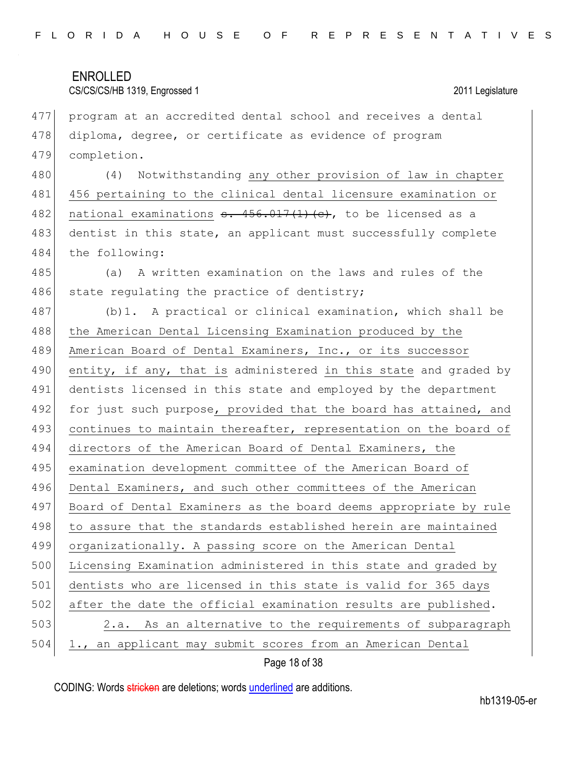| 477 | program at an accredited dental school and receives a dental                       |
|-----|------------------------------------------------------------------------------------|
| 478 | diploma, degree, or certificate as evidence of program                             |
| 479 | completion.                                                                        |
| 480 | Notwithstanding any other provision of law in chapter<br>(4)                       |
| 481 | 456 pertaining to the clinical dental licensure examination or                     |
| 482 | national examinations $\frac{1}{2}$ . $\frac{456.017(1)}{2}$ . to be licensed as a |
| 483 | dentist in this state, an applicant must successfully complete                     |
| 484 | the following:                                                                     |
| 485 | A written examination on the laws and rules of the<br>(a)                          |
| 486 | state regulating the practice of dentistry;                                        |
| 487 | (b) 1. A practical or clinical examination, which shall be                         |
| 488 | the American Dental Licensing Examination produced by the                          |
| 489 | American Board of Dental Examiners, Inc., or its successor                         |
| 490 | entity, if any, that is administered in this state and graded by                   |
| 491 | dentists licensed in this state and employed by the department                     |
| 492 | for just such purpose, provided that the board has attained, and                   |
| 493 | continues to maintain thereafter, representation on the board of                   |
| 494 | directors of the American Board of Dental Examiners, the                           |
| 495 | examination development committee of the American Board of                         |
| 496 | Dental Examiners, and such other committees of the American                        |
| 497 | Board of Dental Examiners as the board deems appropriate by rule                   |
| 498 | to assure that the standards established herein are maintained                     |
| 499 | organizationally. A passing score on the American Dental                           |
| 500 | Licensing Examination administered in this state and graded by                     |
| 501 | dentists who are licensed in this state is valid for 365 days                      |
| 502 | after the date the official examination results are published.                     |
| 503 | As an alternative to the requirements of subparagraph<br>2.a.                      |
| 504 | 1., an applicant may submit scores from an American Dental                         |
|     |                                                                                    |

Page 18 of 38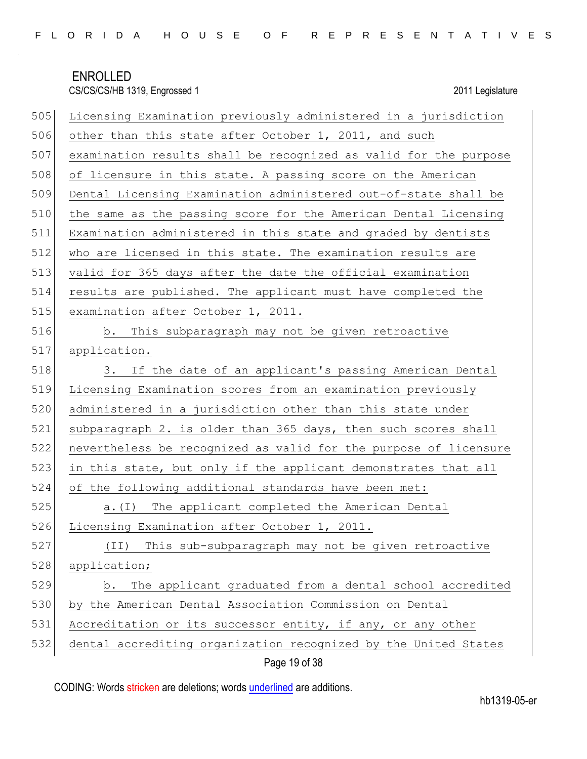| 505 | Licensing Examination previously administered in a jurisdiction  |
|-----|------------------------------------------------------------------|
| 506 | other than this state after October 1, 2011, and such            |
| 507 | examination results shall be recognized as valid for the purpose |
| 508 | of licensure in this state. A passing score on the American      |
| 509 | Dental Licensing Examination administered out-of-state shall be  |
| 510 | the same as the passing score for the American Dental Licensing  |
| 511 | Examination administered in this state and graded by dentists    |
| 512 | who are licensed in this state. The examination results are      |
| 513 | valid for 365 days after the date the official examination       |
| 514 | results are published. The applicant must have completed the     |
| 515 | examination after October 1, 2011.                               |
| 516 | b. This subparagraph may not be given retroactive                |
| 517 | application.                                                     |
| 518 | If the date of an applicant's passing American Dental<br>3.      |
| 519 | Licensing Examination scores from an examination previously      |
| 520 | administered in a jurisdiction other than this state under       |
| 521 | subparagraph 2. is older than 365 days, then such scores shall   |
| 522 | nevertheless be recognized as valid for the purpose of licensure |
| 523 | in this state, but only if the applicant demonstrates that all   |
| 524 | of the following additional standards have been met:             |
| 525 | The applicant completed the American Dental<br>a. $(I)$          |
| 526 | Licensing Examination after October 1, 2011.                     |
| 527 | This sub-subparagraph may not be given retroactive<br>(TI)       |
| 528 | application;                                                     |
| 529 | The applicant graduated from a dental school accredited<br>b.    |
| 530 | by the American Dental Association Commission on Dental          |
| 531 | Accreditation or its successor entity, if any, or any other      |
| 532 | dental accrediting organization recognized by the United States  |

## Page 19 of 38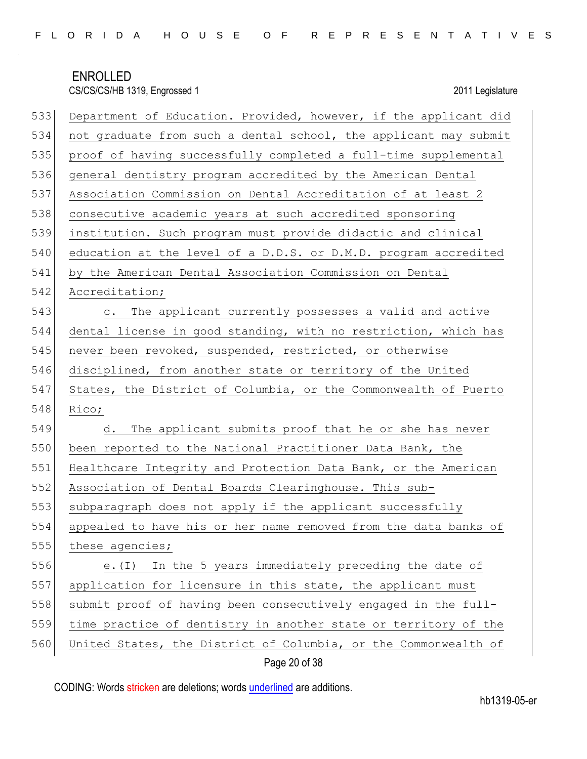| 533 | Department of Education. Provided, however, if the applicant did |
|-----|------------------------------------------------------------------|
| 534 | not graduate from such a dental school, the applicant may submit |
| 535 | proof of having successfully completed a full-time supplemental  |
| 536 | general dentistry program accredited by the American Dental      |
| 537 | Association Commission on Dental Accreditation of at least 2     |
| 538 | consecutive academic years at such accredited sponsoring         |
| 539 | institution. Such program must provide didactic and clinical     |
| 540 | education at the level of a D.D.S. or D.M.D. program accredited  |
| 541 | by the American Dental Association Commission on Dental          |
| 542 | Accreditation;                                                   |
| 543 | c. The applicant currently possesses a valid and active          |
| 544 | dental license in good standing, with no restriction, which has  |
| 545 | never been revoked, suspended, restricted, or otherwise          |
| 546 | disciplined, from another state or territory of the United       |
|     |                                                                  |
| 547 | States, the District of Columbia, or the Commonwealth of Puerto  |
| 548 | Rico;                                                            |
| 549 | The applicant submits proof that he or she has never<br>d.       |
| 550 | been reported to the National Practitioner Data Bank, the        |
| 551 | Healthcare Integrity and Protection Data Bank, or the American   |
| 552 | Association of Dental Boards Clearinghouse. This sub-            |
| 553 | subparagraph does not apply if the applicant successfully        |
| 554 | appealed to have his or her name removed from the data banks of  |
| 555 | these agencies;                                                  |
| 556 | e. (I) In the 5 years immediately preceding the date of          |
| 557 | application for licensure in this state, the applicant must      |
| 558 | submit proof of having been consecutively engaged in the full-   |
| 559 | time practice of dentistry in another state or territory of the  |

## Page 20 of 38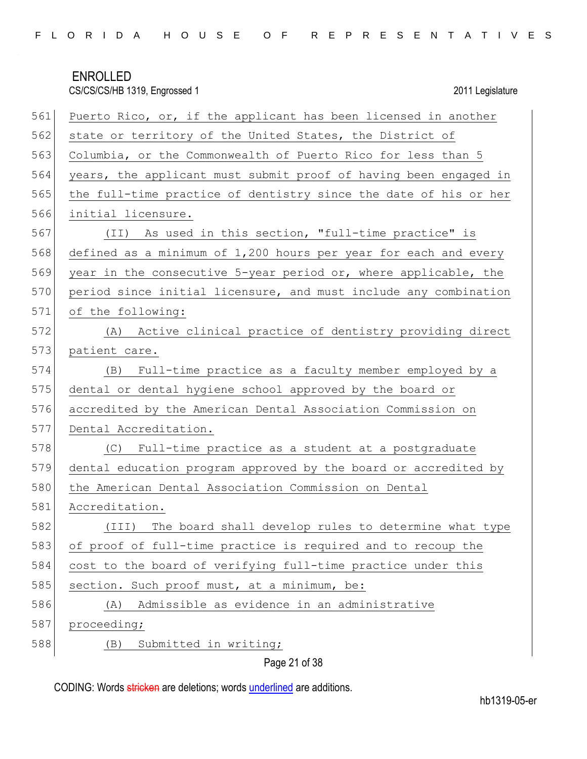CS/CS/CS/HB 1319, Engrossed 1 2011 Legislature

| 561 | Puerto Rico, or, if the applicant has been licensed in another   |
|-----|------------------------------------------------------------------|
| 562 | state or territory of the United States, the District of         |
| 563 | Columbia, or the Commonwealth of Puerto Rico for less than 5     |
| 564 | years, the applicant must submit proof of having been engaged in |
| 565 | the full-time practice of dentistry since the date of his or her |
| 566 | initial licensure.                                               |
| 567 | (II) As used in this section, "full-time practice" is            |
| 568 | defined as a minimum of 1,200 hours per year for each and every  |
| 569 | year in the consecutive 5-year period or, where applicable, the  |
| 570 | period since initial licensure, and must include any combination |
| 571 | of the following:                                                |
| 572 | (A) Active clinical practice of dentistry providing direct       |
| 573 | patient care.                                                    |
| 574 | Full-time practice as a faculty member employed by a<br>(B)      |
| 575 | dental or dental hygiene school approved by the board or         |
| 576 | accredited by the American Dental Association Commission on      |
| 577 | Dental Accreditation.                                            |
| 578 | (C) Full-time practice as a student at a postgraduate            |
| 579 | dental education program approved by the board or accredited by  |
| 580 | the American Dental Association Commission on Dental             |
| 581 | Accreditation.                                                   |
| 582 | The board shall develop rules to determine what type<br>(III)    |
| 583 | of proof of full-time practice is required and to recoup the     |
| 584 | cost to the board of verifying full-time practice under this     |
| 585 | section. Such proof must, at a minimum, be:                      |
| 586 | Admissible as evidence in an administrative<br>(A)               |
| 587 | proceeding;                                                      |
| 588 | Submitted in writing;<br>(B)                                     |
|     |                                                                  |

Page 21 of 38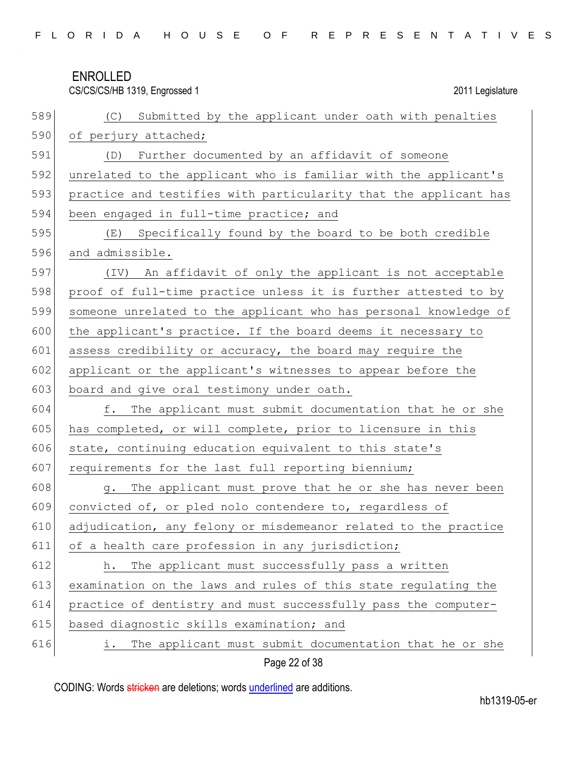|     | CS/CS/CS/HB 1319, Engrossed 1<br>2011 Legislature                     |
|-----|-----------------------------------------------------------------------|
| 589 | Submitted by the applicant under oath with penalties<br>(C)           |
| 590 | of perjury attached;                                                  |
| 591 | (D) Further documented by an affidavit of someone                     |
| 592 | unrelated to the applicant who is familiar with the applicant's       |
| 593 | practice and testifies with particularity that the applicant has      |
| 594 | been engaged in full-time practice; and                               |
| 595 | Specifically found by the board to be both credible<br>(E)            |
| 596 | and admissible.                                                       |
| 597 | An affidavit of only the applicant is not acceptable<br>$(\text{IV})$ |
| 598 | proof of full-time practice unless it is further attested to by       |
| 599 | someone unrelated to the applicant who has personal knowledge of      |
| 600 | the applicant's practice. If the board deems it necessary to          |
| 601 | assess credibility or accuracy, the board may require the             |
| 602 | applicant or the applicant's witnesses to appear before the           |
| 603 | board and give oral testimony under oath.                             |
| 604 | The applicant must submit documentation that he or she<br>f.          |
| 605 | has completed, or will complete, prior to licensure in this           |
| 606 | state, continuing education equivalent to this state's                |
| 607 | requirements for the last full reporting biennium;                    |
| 608 | The applicant must prove that he or she has never been<br>q.          |
| 609 | convicted of, or pled nolo contendere to, regardless of               |
| 610 | adjudication, any felony or misdemeanor related to the practice       |
| 611 | of a health care profession in any jurisdiction;                      |
| 612 | The applicant must successfully pass a written<br>h.                  |
| 613 | examination on the laws and rules of this state regulating the        |
| 614 | practice of dentistry and must successfully pass the computer-        |
| 615 | based diagnostic skills examination; and                              |
| 616 | The applicant must submit documentation that he or she<br>i.          |
|     | Page 22 of 38                                                         |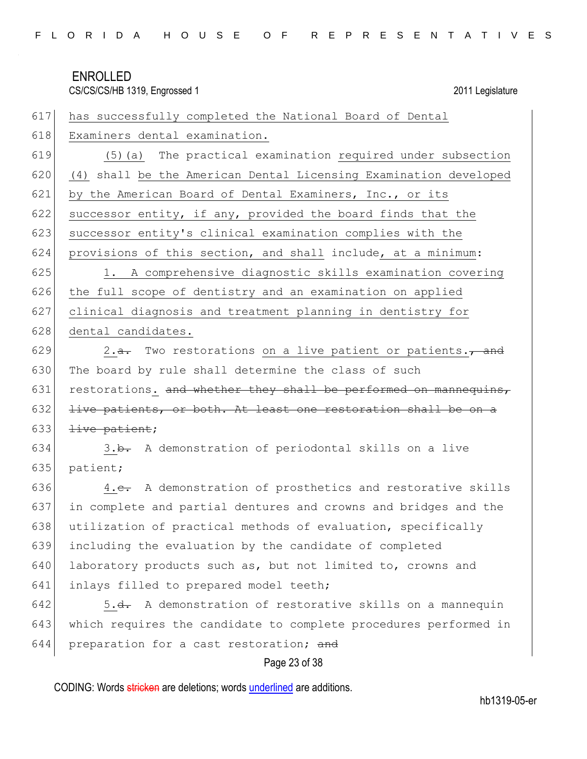| FLORIDA HOUSE OF REPRESENTATIVES |  |  |
|----------------------------------|--|--|
|----------------------------------|--|--|

| 617 | has successfully completed the National Board of Dental               |
|-----|-----------------------------------------------------------------------|
| 618 | Examiners dental examination.                                         |
| 619 | (5) (a) The practical examination required under subsection           |
| 620 | (4) shall be the American Dental Licensing Examination developed      |
| 621 | by the American Board of Dental Examiners, Inc., or its               |
| 622 | successor entity, if any, provided the board finds that the           |
| 623 | successor entity's clinical examination complies with the             |
| 624 | provisions of this section, and shall include, at a minimum:          |
| 625 | 1. A comprehensive diagnostic skills examination covering             |
| 626 | the full scope of dentistry and an examination on applied             |
| 627 | clinical diagnosis and treatment planning in dentistry for            |
| 628 | dental candidates.                                                    |
| 629 | 2.a. Two restorations on a live patient or patients., and             |
| 630 | The board by rule shall determine the class of such                   |
| 631 | restorations. and whether they shall be performed on mannequins,      |
| 632 | live patients, or both. At least one restoration shall be on a        |
| 633 | <del>live patient</del> ;                                             |
| 634 | 3.b. A demonstration of periodontal skills on a live                  |
| 635 | patient;                                                              |
| 636 | 4.e. A demonstration of prosthetics and restorative skills            |
| 637 | in complete and partial dentures and crowns and bridges and the       |
| 638 | utilization of practical methods of evaluation, specifically          |
| 639 | including the evaluation by the candidate of completed                |
| 640 | laboratory products such as, but not limited to, crowns and           |
| 641 | inlays filled to prepared model teeth;                                |
| 642 | 5. <del>d.</del> A demonstration of restorative skills on a mannequin |
| 643 | which requires the candidate to complete procedures performed in      |
| 644 | preparation for a cast restoration; and                               |
|     |                                                                       |

## Page 23 of 38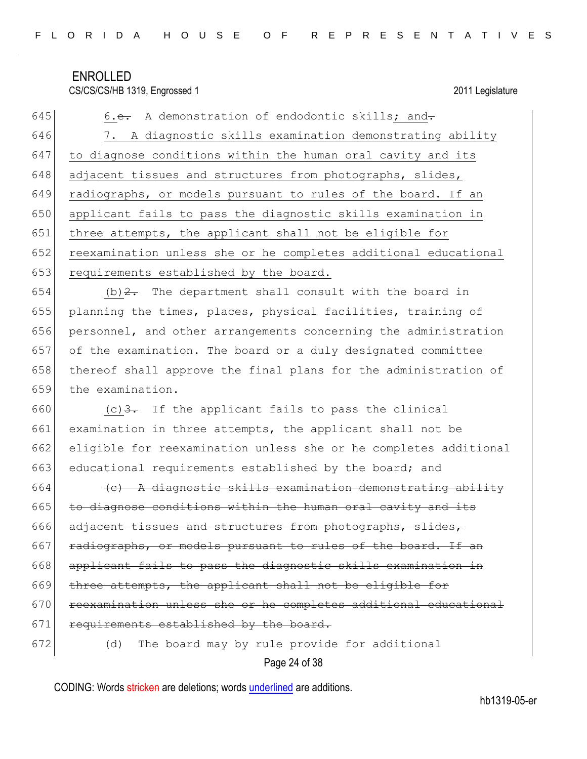645 6.e. A demonstration of endodontic skills; and-646 7. A diagnostic skills examination demonstrating ability 647 to diagnose conditions within the human oral cavity and its 648 adjacent tissues and structures from photographs, slides, 649 radiographs, or models pursuant to rules of the board. If an 650 applicant fails to pass the diagnostic skills examination in 651 three attempts, the applicant shall not be eligible for 652 reexamination unless she or he completes additional educational 653 requirements established by the board.

654 (b)  $2$ . The department shall consult with the board in planning the times, places, physical facilities, training of personnel, and other arrangements concerning the administration of the examination. The board or a duly designated committee 658 | thereof shall approve the final plans for the administration of the examination.

 $(c)$  3. If the applicant fails to pass the clinical examination in three attempts, the applicant shall not be eligible for reexamination unless she or he completes additional 663 educational requirements established by the board; and

664  $\leftarrow$  +  $\leftarrow$  A diagnostic skills examination demonstrating ability  $665$  to diagnose conditions within the human oral cavity and its 666 adjacent tissues and structures from photographs, slides, 667 radiographs, or models pursuant to rules of the board. If an 668 applicant fails to pass the diagnostic skills examination in 669 three attempts, the applicant shall not be eligible for 670 reexamination unless she or he completes additional educational 671 requirements established by the board. 672 (d) The board may by rule provide for additional

Page 24 of 38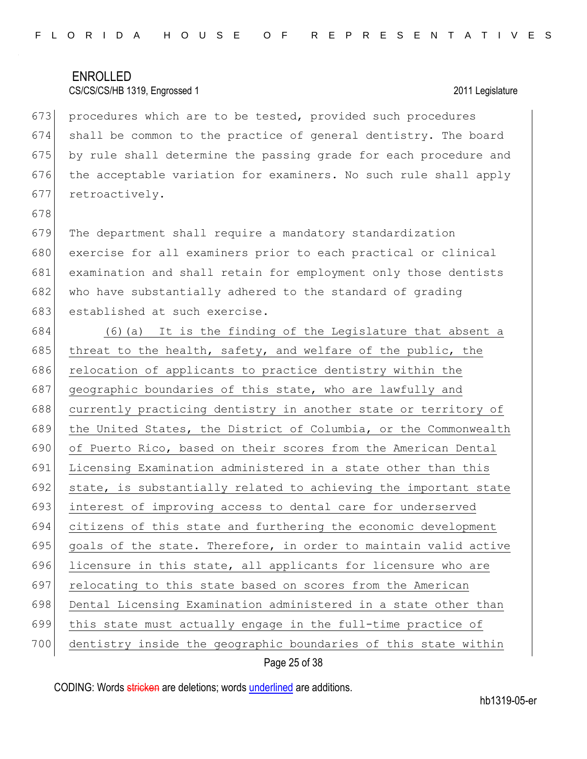673 procedures which are to be tested, provided such procedures 674 shall be common to the practice of general dentistry. The board 675 by rule shall determine the passing grade for each procedure and 676 the acceptable variation for examiners. No such rule shall apply 677 retroactively.

678

679 The department shall require a mandatory standardization 680 exercise for all examiners prior to each practical or clinical 681 examination and shall retain for employment only those dentists 682 who have substantially adhered to the standard of grading 683 established at such exercise.

684 (6)(a) It is the finding of the Legislature that absent a 685 threat to the health, safety, and welfare of the public, the 686 relocation of applicants to practice dentistry within the 687 geographic boundaries of this state, who are lawfully and 688 currently practicing dentistry in another state or territory of 689 the United States, the District of Columbia, or the Commonwealth 690 of Puerto Rico, based on their scores from the American Dental 691 Licensing Examination administered in a state other than this 692 state, is substantially related to achieving the important state 693 interest of improving access to dental care for underserved 694 citizens of this state and furthering the economic development 695 goals of the state. Therefore, in order to maintain valid active 696 licensure in this state, all applicants for licensure who are 697 relocating to this state based on scores from the American 698 Dental Licensing Examination administered in a state other than 699 this state must actually engage in the full-time practice of 700 dentistry inside the geographic boundaries of this state within

### Page 25 of 38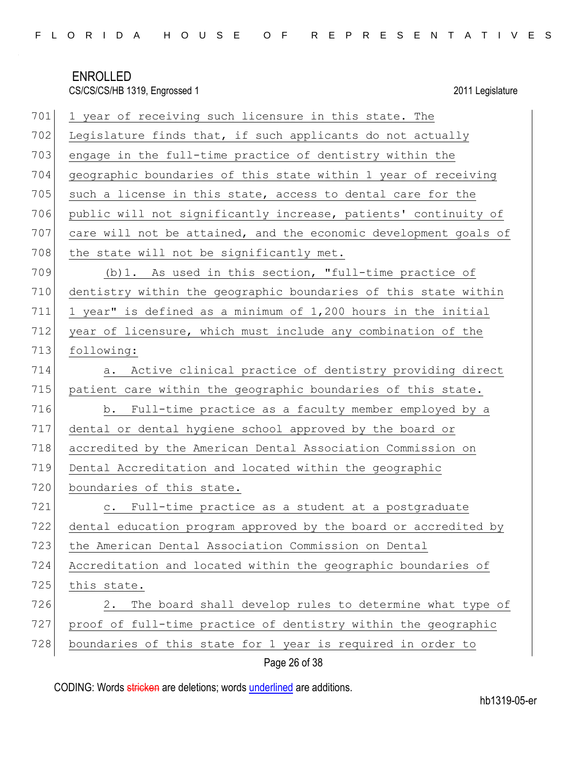| 701 | 1 year of receiving such licensure in this state. The            |
|-----|------------------------------------------------------------------|
| 702 | Legislature finds that, if such applicants do not actually       |
| 703 | engage in the full-time practice of dentistry within the         |
| 704 | geographic boundaries of this state within 1 year of receiving   |
| 705 | such a license in this state, access to dental care for the      |
| 706 | public will not significantly increase, patients' continuity of  |
| 707 | care will not be attained, and the economic development goals of |
| 708 | the state will not be significantly met.                         |
| 709 | (b) 1. As used in this section, "full-time practice of           |
| 710 | dentistry within the geographic boundaries of this state within  |
| 711 | 1 year" is defined as a minimum of 1,200 hours in the initial    |
| 712 | year of licensure, which must include any combination of the     |
| 713 | following:                                                       |
| 714 | a. Active clinical practice of dentistry providing direct        |
| 715 | patient care within the geographic boundaries of this state.     |
| 716 | Full-time practice as a faculty member employed by a<br>b.       |
| 717 | dental or dental hygiene school approved by the board or         |
| 718 | accredited by the American Dental Association Commission on      |
| 719 | Dental Accreditation and located within the geographic           |
| 720 | boundaries of this state.                                        |
| 721 | c. Full-time practice as a student at a postgraduate             |
| 722 | dental education program approved by the board or accredited by  |
| 723 | the American Dental Association Commission on Dental             |
| 724 | Accreditation and located within the geographic boundaries of    |
| 725 | this state.                                                      |
| 726 | The board shall develop rules to determine what type of<br>2.    |
| 727 | proof of full-time practice of dentistry within the geographic   |
| 728 | boundaries of this state for 1 year is required in order to      |
|     | Page 26 of 38                                                    |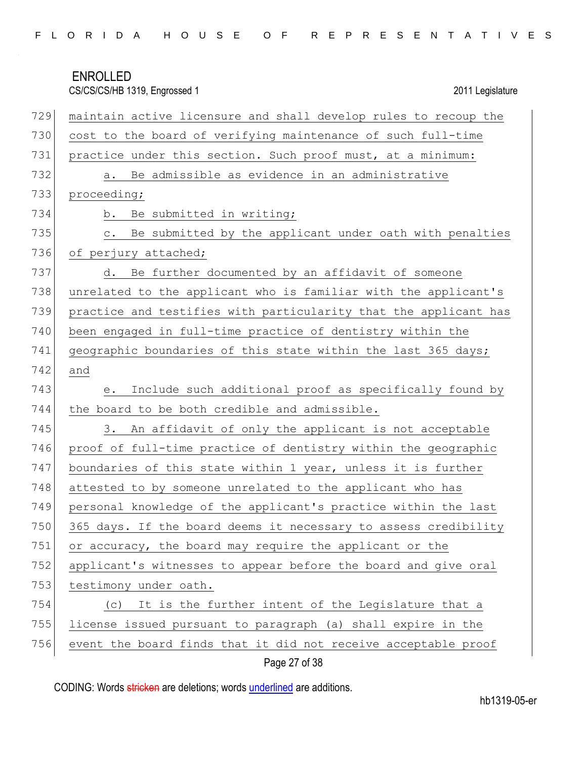|  |  |  |  |  |  |  |  |  |  |  |  | FLORIDA HOUSE OF REPRESENTATIVES |  |  |  |  |  |  |  |  |  |  |  |  |  |  |  |  |
|--|--|--|--|--|--|--|--|--|--|--|--|----------------------------------|--|--|--|--|--|--|--|--|--|--|--|--|--|--|--|--|
|--|--|--|--|--|--|--|--|--|--|--|--|----------------------------------|--|--|--|--|--|--|--|--|--|--|--|--|--|--|--|--|

| 729 | maintain active licensure and shall develop rules to recoup the      |
|-----|----------------------------------------------------------------------|
| 730 | cost to the board of verifying maintenance of such full-time         |
| 731 | practice under this section. Such proof must, at a minimum:          |
| 732 | Be admissible as evidence in an administrative<br>а.                 |
| 733 | proceeding;                                                          |
| 734 | Be submitted in writing;<br>b.                                       |
| 735 | Be submitted by the applicant under oath with penalties<br>$\circ$ . |
| 736 | of perjury attached;                                                 |
| 737 | Be further documented by an affidavit of someone<br>d.               |
| 738 | unrelated to the applicant who is familiar with the applicant's      |
| 739 | practice and testifies with particularity that the applicant has     |
| 740 | been engaged in full-time practice of dentistry within the           |
| 741 | geographic boundaries of this state within the last 365 days;        |
| 742 | and                                                                  |
| 743 | Include such additional proof as specifically found by<br>е.         |
| 744 | the board to be both credible and admissible.                        |
| 745 | An affidavit of only the applicant is not acceptable<br>3.           |
| 746 | proof of full-time practice of dentistry within the geographic       |
| 747 | boundaries of this state within 1 year, unless it is further         |
| 748 | attested to by someone unrelated to the applicant who has            |
| 749 | personal knowledge of the applicant's practice within the last       |
| 750 | 365 days. If the board deems it necessary to assess credibility      |
| 751 | or accuracy, the board may require the applicant or the              |
| 752 | applicant's witnesses to appear before the board and give oral       |
| 753 | testimony under oath.                                                |
| 754 | (c) It is the further intent of the Legislature that a               |
| 755 | license issued pursuant to paragraph (a) shall expire in the         |
| 756 | event the board finds that it did not receive acceptable proof       |

## Page 27 of 38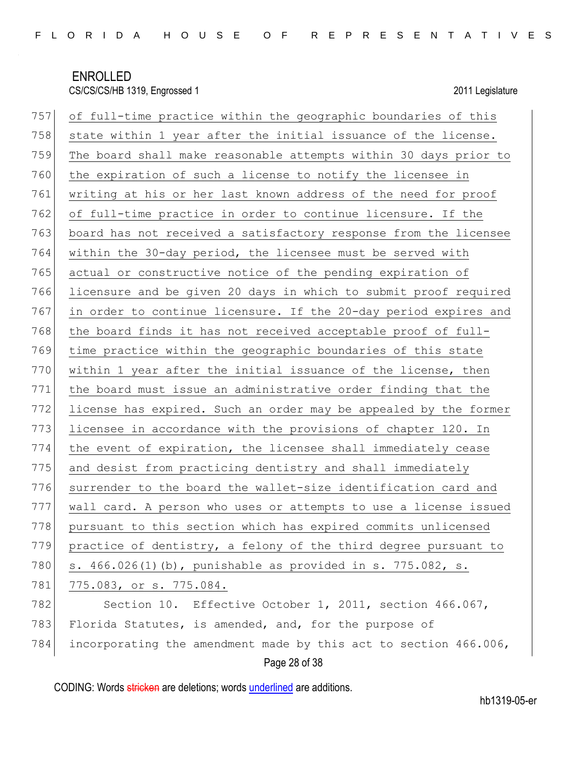| 757 | of full-time practice within the geographic boundaries of this   |
|-----|------------------------------------------------------------------|
| 758 | state within 1 year after the initial issuance of the license.   |
| 759 | The board shall make reasonable attempts within 30 days prior to |
| 760 | the expiration of such a license to notify the licensee in       |
| 761 | writing at his or her last known address of the need for proof   |
| 762 | of full-time practice in order to continue licensure. If the     |
| 763 | board has not received a satisfactory response from the licensee |
| 764 | within the 30-day period, the licensee must be served with       |
| 765 | actual or constructive notice of the pending expiration of       |
| 766 | licensure and be given 20 days in which to submit proof required |
| 767 | in order to continue licensure. If the 20-day period expires and |
| 768 | the board finds it has not received acceptable proof of full-    |
| 769 | time practice within the geographic boundaries of this state     |
| 770 | within 1 year after the initial issuance of the license, then    |
| 771 | the board must issue an administrative order finding that the    |
| 772 | license has expired. Such an order may be appealed by the former |
| 773 | licensee in accordance with the provisions of chapter 120. In    |
| 774 | the event of expiration, the licensee shall immediately cease    |
| 775 | and desist from practicing dentistry and shall immediately       |
| 776 | surrender to the board the wallet-size identification card and   |
| 777 | wall card. A person who uses or attempts to use a license issued |
| 778 | pursuant to this section which has expired commits unlicensed    |
| 779 | practice of dentistry, a felony of the third degree pursuant to  |
| 780 | s. 466.026(1)(b), punishable as provided in s. 775.082, s.       |
| 781 | 775.083, or s. 775.084.                                          |
| 782 | Section 10. Effective October 1, 2011, section 466.067,          |
| 783 | Florida Statutes, is amended, and, for the purpose of            |
| 784 | incorporating the amendment made by this act to section 466.006, |
|     | Page 28 of 38                                                    |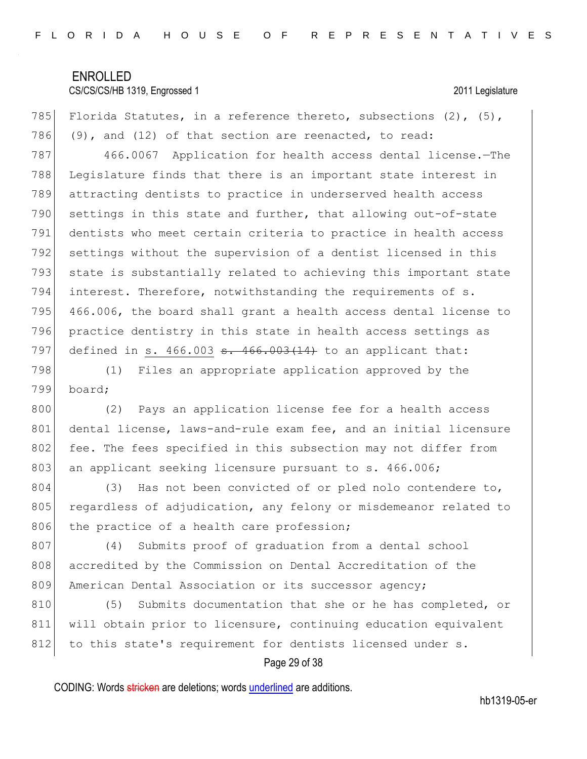785 Florida Statutes, in a reference thereto, subsections  $(2)$ ,  $(5)$ , 786 (9), and (12) of that section are reenacted, to read: 787 466.0067 Application for health access dental license.—The 788 Legislature finds that there is an important state interest in 789 attracting dentists to practice in underserved health access 790 settings in this state and further, that allowing out-of-state 791 dentists who meet certain criteria to practice in health access 792 settings without the supervision of a dentist licensed in this 793 state is substantially related to achieving this important state 794 interest. Therefore, notwithstanding the requirements of s. 795 466.006, the board shall grant a health access dental license to 796 practice dentistry in this state in health access settings as 797 defined in s.  $466.003$   $\text{e}$ .  $466.003(14)$  to an applicant that: 798 (1) Files an appropriate application approved by the 799 board; 800 (2) Pays an application license fee for a health access 801 dental license, laws-and-rule exam fee, and an initial licensure 802 fee. The fees specified in this subsection may not differ from 803 an applicant seeking licensure pursuant to s. 466.006; 804 (3) Has not been convicted of or pled nolo contendere to,

805 regardless of adjudication, any felony or misdemeanor related to 806 the practice of a health care profession;

807 (4) Submits proof of graduation from a dental school 808 accredited by the Commission on Dental Accreditation of the 809 American Dental Association or its successor agency;

810 (5) Submits documentation that she or he has completed, or 811 will obtain prior to licensure, continuing education equivalent 812 to this state's requirement for dentists licensed under s.

### Page 29 of 38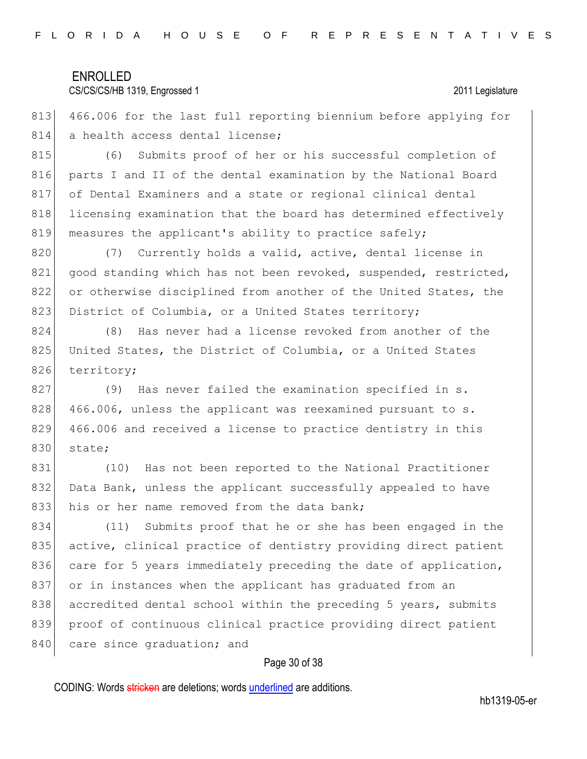### CS/CS/CS/HB 1319, Engrossed 1 2011 Legislature

813 466.006 for the last full reporting biennium before applying for 814 a health access dental license;

815 (6) Submits proof of her or his successful completion of 816 parts I and II of the dental examination by the National Board 817 of Dental Examiners and a state or regional clinical dental 818 licensing examination that the board has determined effectively 819 measures the applicant's ability to practice safely;

820 (7) Currently holds a valid, active, dental license in 821 good standing which has not been revoked, suspended, restricted, 822 or otherwise disciplined from another of the United States, the 823 District of Columbia, or a United States territory;

824 (8) Has never had a license revoked from another of the 825 United States, the District of Columbia, or a United States 826 territory;

827 (9) Has never failed the examination specified in s.  $828$  466.006, unless the applicant was reexamined pursuant to s. 829 466.006 and received a license to practice dentistry in this 830 state;

831 (10) Has not been reported to the National Practitioner 832 Data Bank, unless the applicant successfully appealed to have 833 his or her name removed from the data bank;

834 (11) Submits proof that he or she has been engaged in the 835 active, clinical practice of dentistry providing direct patient 836 care for 5 years immediately preceding the date of application, 837 or in instances when the applicant has graduated from an 838 accredited dental school within the preceding 5 years, submits 839 proof of continuous clinical practice providing direct patient 840 care since graduation; and

### Page 30 of 38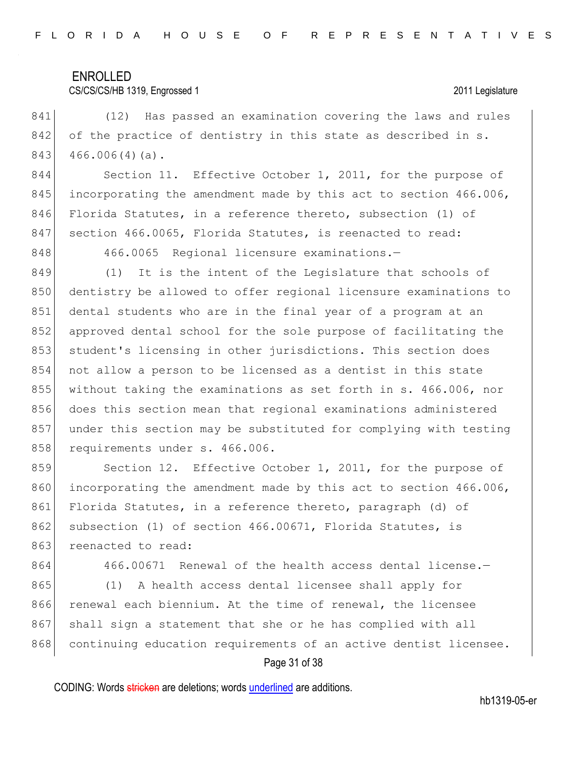### CS/CS/CS/HB 1319, Engrossed 1 2011 Legislature

841 (12) Has passed an examination covering the laws and rules 842 of the practice of dentistry in this state as described in s.  $843$  466.006(4)(a).

844 Section 11. Effective October 1, 2011, for the purpose of 845 incorporating the amendment made by this act to section 466.006, 846 Florida Statutes, in a reference thereto, subsection (1) of 847 section 466.0065, Florida Statutes, is reenacted to read:

848 466.0065 Regional licensure examinations.-

849 (1) It is the intent of the Legislature that schools of 850 dentistry be allowed to offer regional licensure examinations to 851 dental students who are in the final year of a program at an 852 approved dental school for the sole purpose of facilitating the 853 student's licensing in other jurisdictions. This section does 854 not allow a person to be licensed as a dentist in this state 855 without taking the examinations as set forth in s. 466.006, nor 856 does this section mean that regional examinations administered 857 under this section may be substituted for complying with testing 858 requirements under s. 466.006.

859 Section 12. Effective October 1, 2011, for the purpose of 860 incorporating the amendment made by this act to section 466.006, 861 Florida Statutes, in a reference thereto, paragraph (d) of 862 subsection (1) of section 466.00671, Florida Statutes, is 863 reenacted to read:

864 466.00671 Renewal of the health access dental license. 865 (1) A health access dental licensee shall apply for 866 renewal each biennium. At the time of renewal, the licensee 867 shall sign a statement that she or he has complied with all 868 continuing education requirements of an active dentist licensee.

### Page 31 of 38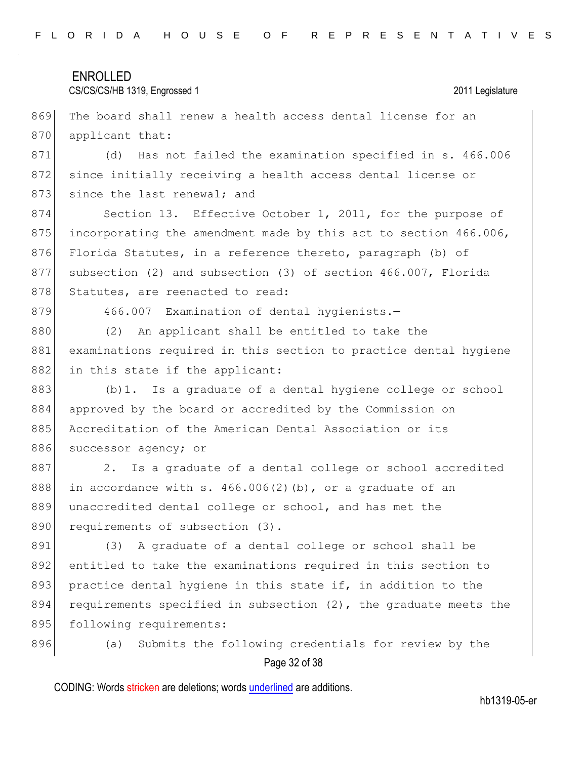### CS/CS/CS/HB 1319, Engrossed 1 2011 Legislature

869 The board shall renew a health access dental license for an 870 applicant that:

871 (d) Has not failed the examination specified in s. 466.006 872 since initially receiving a health access dental license or 873 since the last renewal; and

874 Section 13. Effective October 1, 2011, for the purpose of 875 incorporating the amendment made by this act to section  $466.006$ , 876 Florida Statutes, in a reference thereto, paragraph (b) of 877 subsection (2) and subsection (3) of section 466.007, Florida 878 Statutes, are reenacted to read:

879 466.007 Examination of dental hygienists.-

880 (2) An applicant shall be entitled to take the 881 examinations required in this section to practice dental hygiene 882 in this state if the applicant:

883 (b) 1. Is a graduate of a dental hygiene college or school 884 approved by the board or accredited by the Commission on 885 Accreditation of the American Dental Association or its 886 successor agency; or

887 2. Is a graduate of a dental college or school accredited 888 in accordance with s.  $466.006(2)$  (b), or a graduate of an 889 unaccredited dental college or school, and has met the 890 requirements of subsection (3).

891 (3) A graduate of a dental college or school shall be 892 entitled to take the examinations required in this section to 893 practice dental hygiene in this state if, in addition to the 894 requirements specified in subsection  $(2)$ , the graduate meets the 895 following requirements:

896 (a) Submits the following credentials for review by the

### Page 32 of 38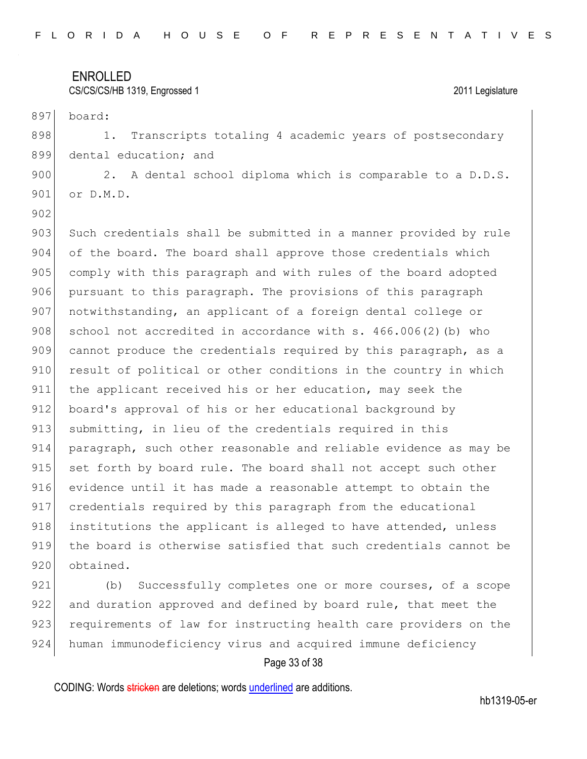### CS/CS/CS/HB 1319, Engrossed 1 2011 Legislature

897 board: 898 1. Transcripts totaling 4 academic years of postsecondary 899 dental education; and

900 2. A dental school diploma which is comparable to a D.D.S. 901 or D.M.D.

902

903 Such credentials shall be submitted in a manner provided by rule 904 of the board. The board shall approve those credentials which 905 comply with this paragraph and with rules of the board adopted 906 pursuant to this paragraph. The provisions of this paragraph 907 notwithstanding, an applicant of a foreign dental college or 908 school not accredited in accordance with s.  $466.006(2)$  (b) who 909 cannot produce the credentials required by this paragraph, as a 910 result of political or other conditions in the country in which 911 the applicant received his or her education, may seek the 912 board's approval of his or her educational background by 913 submitting, in lieu of the credentials required in this 914 paragraph, such other reasonable and reliable evidence as may be 915 set forth by board rule. The board shall not accept such other 916 evidence until it has made a reasonable attempt to obtain the 917 credentials required by this paragraph from the educational 918 institutions the applicant is alleged to have attended, unless 919 the board is otherwise satisfied that such credentials cannot be 920 obtained.

921 (b) Successfully completes one or more courses, of a scope 922 and duration approved and defined by board rule, that meet the 923 requirements of law for instructing health care providers on the 924 human immunodeficiency virus and acquired immune deficiency

### Page 33 of 38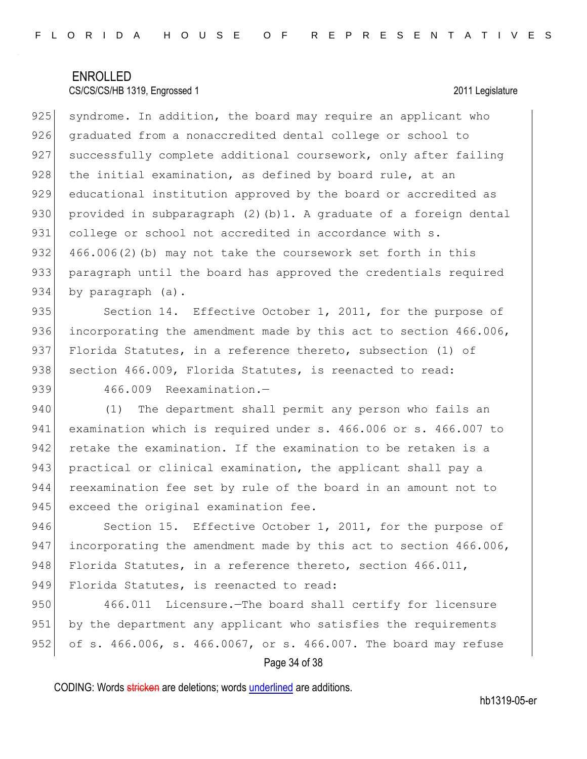$925$  syndrome. In addition, the board may require an applicant who 926 graduated from a nonaccredited dental college or school to 927 successfully complete additional coursework, only after failing  $928$  the initial examination, as defined by board rule, at an 929 educational institution approved by the board or accredited as 930 provided in subparagraph  $(2)$  (b)1. A graduate of a foreign dental 931 college or school not accredited in accordance with s. 932 466.006(2)(b) may not take the coursework set forth in this 933 paragraph until the board has approved the credentials required 934 by paragraph (a).

935 Section 14. Effective October 1, 2011, for the purpose of 936 incorporating the amendment made by this act to section 466.006, 937 Florida Statutes, in a reference thereto, subsection (1) of 938 section 466.009, Florida Statutes, is reenacted to read:

939 466.009 Reexamination.-

940 (1) The department shall permit any person who fails an 941 examination which is required under s. 466.006 or s. 466.007 to 942 retake the examination. If the examination to be retaken is a 943 practical or clinical examination, the applicant shall pay a 944 reexamination fee set by rule of the board in an amount not to 945 exceed the original examination fee.

946 Section 15. Effective October 1, 2011, for the purpose of 947 incorporating the amendment made by this act to section 466.006, 948 Florida Statutes, in a reference thereto, section 466.011, 949 Florida Statutes, is reenacted to read:

950 466.011 Licensure.—The board shall certify for licensure 951 by the department any applicant who satisfies the requirements 952 of s. 466.006, s. 466.0067, or s. 466.007. The board may refuse

### Page 34 of 38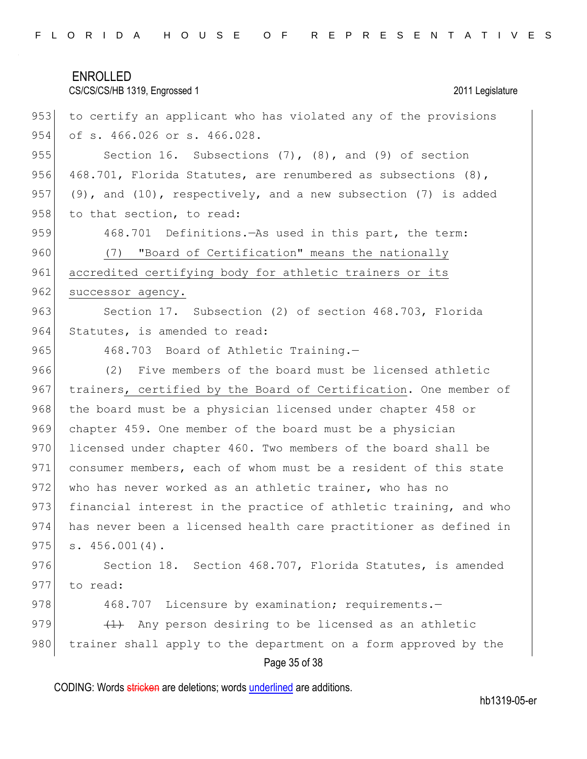ENROLLED CS/CS/CS/HB 1319, Engrossed 1 2011 Legislature 953 to certify an applicant who has violated any of the provisions 954 of s. 466.026 or s. 466.028. 955 Section 16. Subsections (7), (8), and (9) of section 956 468.701, Florida Statutes, are renumbered as subsections (8), 957 (9), and (10), respectively, and a new subsection (7) is added 958 to that section, to read: 959 468.701 Definitions.—As used in this part, the term: 960 (7) "Board of Certification" means the nationally 961 accredited certifying body for athletic trainers or its 962 successor agency. 963 Section 17. Subsection (2) of section 468.703, Florida 964 Statutes, is amended to read: 965 468.703 Board of Athletic Training.-966 (2) Five members of the board must be licensed athletic 967 trainers, certified by the Board of Certification. One member of 968 | the board must be a physician licensed under chapter 458 or 969 chapter 459. One member of the board must be a physician 970 licensed under chapter 460. Two members of the board shall be 971 consumer members, each of whom must be a resident of this state 972 who has never worked as an athletic trainer, who has no 973 financial interest in the practice of athletic training, and who 974 has never been a licensed health care practitioner as defined in  $975$  s.  $456.001(4)$ . 976 Section 18. Section 468.707, Florida Statutes, is amended 977 to read: 978 468.707 Licensure by examination; requirements. 979  $(1)$  Any person desiring to be licensed as an athletic

980 trainer shall apply to the department on a form approved by the

### Page 35 of 38

CODING: Words stricken are deletions; words underlined are additions.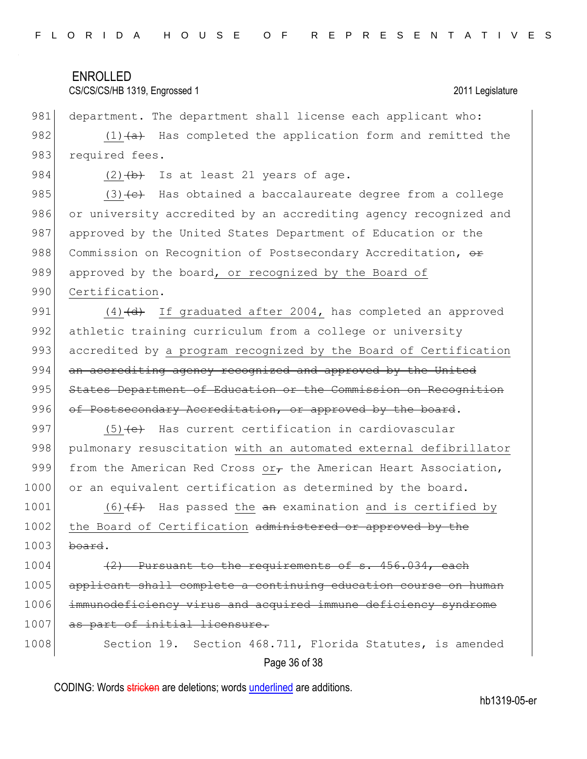### CS/CS/CS/HB 1319, Engrossed 1 2011 Legislature

981 department. The department shall license each applicant who: 982 (1) $\leftarrow$  Has completed the application form and remitted the 983 required fees.

984  $(2)$   $(b)$  Is at least 21 years of age.

985  $(3)$  (3) (c) Has obtained a baccalaureate degree from a college 986 or university accredited by an accrediting agency recognized and 987 approved by the United States Department of Education or the 988 Commission on Recognition of Postsecondary Accreditation, or 989 approved by the board, or recognized by the Board of 990 Certification.

991  $(4)$   $(d)$  If graduated after 2004, has completed an approved 992 athletic training curriculum from a college or university 993 accredited by a program recognized by the Board of Certification 994 an accrediting agency recognized and approved by the United 995 States Department of Education or the Commission on Recognition 996 of Postsecondary Accreditation, or approved by the board.

997  $(5)$  (e) Has current certification in cardiovascular 998 pulmonary resuscitation with an automated external defibrillator 999 from the American Red Cross or $\tau$  the American Heart Association, 1000 or an equivalent certification as determined by the board.

1001 (6) $(f+$  Has passed the  $\frac{a}{f}$  examination and is certified by 1002 the Board of Certification administered or approved by the  $1003$  board.

1004  $(2)$  Pursuant to the requirements of s. 456.034, each 1005 applicant shall complete a continuing education course on human 1006 immunodeficiency virus and acquired immune deficiency syndrome 1007 as part of initial licensure.

Page 36 of 38 1008 Section 19. Section 468.711, Florida Statutes, is amended

CODING: Words stricken are deletions; words underlined are additions.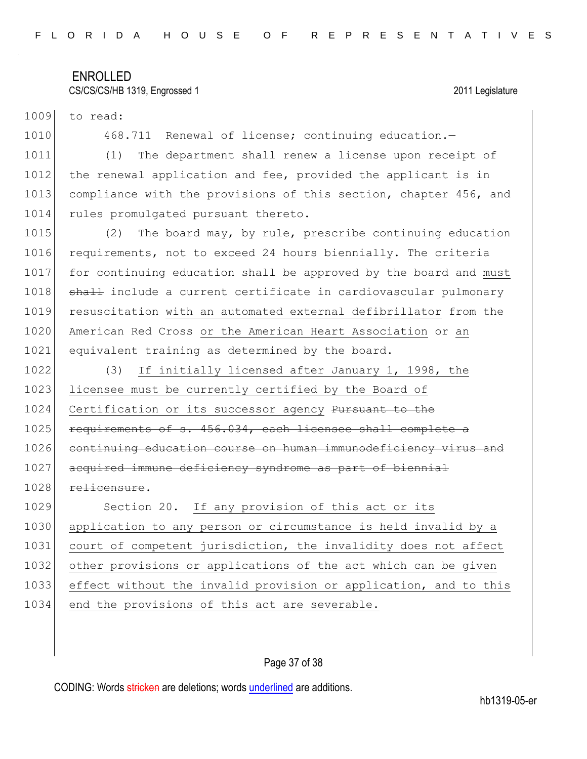### CS/CS/CS/HB 1319, Engrossed 1 2011 Legislature

1009 to read:

1010 468.711 Renewal of license; continuing education.

1011 (1) The department shall renew a license upon receipt of 1012 the renewal application and fee, provided the applicant is in 1013 compliance with the provisions of this section, chapter 456, and 1014 rules promulgated pursuant thereto.

1015 (2) The board may, by rule, prescribe continuing education 1016 requirements, not to exceed 24 hours biennially. The criteria 1017 for continuing education shall be approved by the board and must 1018 shall include a current certificate in cardiovascular pulmonary 1019 resuscitation with an automated external defibrillator from the 1020 American Red Cross or the American Heart Association or an 1021 equivalent training as determined by the board.

1022 (3) If initially licensed after January 1, 1998, the 1023 licensee must be currently certified by the Board of 1024 Certification or its successor agency Pursuant to the 1025 requirements of s. 456.034, each licensee shall complete a 1026 continuing education course on human immunodeficiency virus and 1027 acquired immune deficiency syndrome as part of biennial 1028 relicensure. 1029 Section 20. If any provision of this act or its 1030 application to any person or circumstance is held invalid by a 1031 court of competent jurisdiction, the invalidity does not affect 1032 other provisions or applications of the act which can be given 1033 effect without the invalid provision or application, and to this

1034 end the provisions of this act are severable.

### Page 37 of 38